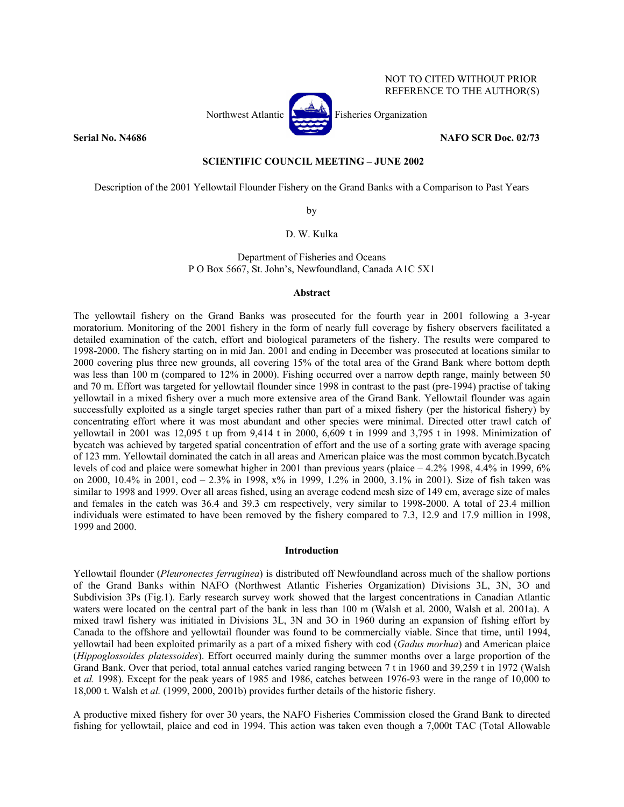NOT TO CITED WITHOUT PRIOR REFERENCE TO THE AUTHOR(S)



## **Serial No. N4686** NAFO SCR Doc. 02/73

# **SCIENTIFIC COUNCIL MEETING – JUNE 2002**

Description of the 2001 Yellowtail Flounder Fishery on the Grand Banks with a Comparison to Past Years

by

# D. W. Kulka

Department of Fisheries and Oceans P O Box 5667, St. John's, Newfoundland, Canada A1C 5X1

### **Abstract**

The yellowtail fishery on the Grand Banks was prosecuted for the fourth year in 2001 following a 3-year moratorium. Monitoring of the 2001 fishery in the form of nearly full coverage by fishery observers facilitated a detailed examination of the catch, effort and biological parameters of the fishery. The results were compared to 1998-2000. The fishery starting on in mid Jan. 2001 and ending in December was prosecuted at locations similar to 2000 covering plus three new grounds, all covering 15% of the total area of the Grand Bank where bottom depth was less than 100 m (compared to 12% in 2000). Fishing occurred over a narrow depth range, mainly between 50 and 70 m. Effort was targeted for yellowtail flounder since 1998 in contrast to the past (pre-1994) practise of taking yellowtail in a mixed fishery over a much more extensive area of the Grand Bank. Yellowtail flounder was again successfully exploited as a single target species rather than part of a mixed fishery (per the historical fishery) by concentrating effort where it was most abundant and other species were minimal. Directed otter trawl catch of yellowtail in 2001 was 12,095 t up from 9,414 t in 2000, 6,609 t in 1999 and 3,795 t in 1998. Minimization of bycatch was achieved by targeted spatial concentration of effort and the use of a sorting grate with average spacing of 123 mm. Yellowtail dominated the catch in all areas and American plaice was the most common bycatch.Bycatch levels of cod and plaice were somewhat higher in 2001 than previous years (plaice – 4.2% 1998, 4.4% in 1999, 6% on 2000, 10.4% in 2001, cod – 2.3% in 1998, x% in 1999, 1.2% in 2000, 3.1% in 2001). Size of fish taken was similar to 1998 and 1999. Over all areas fished, using an average codend mesh size of 149 cm, average size of males and females in the catch was 36.4 and 39.3 cm respectively, very similar to 1998-2000. A total of 23.4 million individuals were estimated to have been removed by the fishery compared to 7.3, 12.9 and 17.9 million in 1998, 1999 and 2000.

#### **Introduction**

Yellowtail flounder (*Pleuronectes ferruginea*) is distributed off Newfoundland across much of the shallow portions of the Grand Banks within NAFO (Northwest Atlantic Fisheries Organization) Divisions 3L, 3N, 3O and Subdivision 3Ps (Fig.1). Early research survey work showed that the largest concentrations in Canadian Atlantic waters were located on the central part of the bank in less than 100 m (Walsh et al. 2000, Walsh et al. 2001a). A mixed trawl fishery was initiated in Divisions 3L, 3N and 3O in 1960 during an expansion of fishing effort by Canada to the offshore and yellowtail flounder was found to be commercially viable. Since that time, until 1994, yellowtail had been exploited primarily as a part of a mixed fishery with cod (*Gadus morhua*) and American plaice (*Hippoglossoides platessoides*). Effort occurred mainly during the summer months over a large proportion of the Grand Bank. Over that period, total annual catches varied ranging between 7 t in 1960 and 39,259 t in 1972 (Walsh et *al.* 1998). Except for the peak years of 1985 and 1986, catches between 1976-93 were in the range of 10,000 to 18,000 t. Walsh et *al.* (1999, 2000, 2001b) provides further details of the historic fishery.

A productive mixed fishery for over 30 years, the NAFO Fisheries Commission closed the Grand Bank to directed fishing for yellowtail, plaice and cod in 1994. This action was taken even though a 7,000t TAC (Total Allowable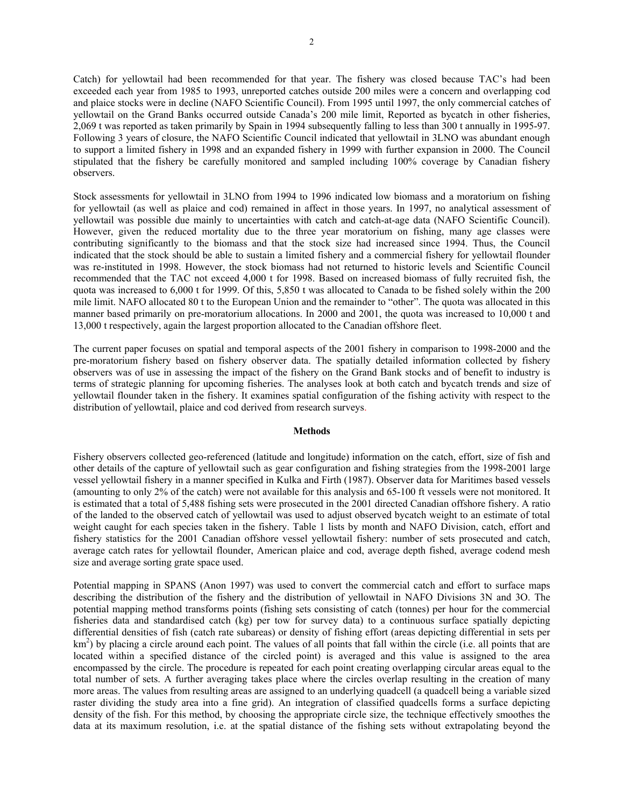Catch) for yellowtail had been recommended for that year. The fishery was closed because TAC's had been exceeded each year from 1985 to 1993, unreported catches outside 200 miles were a concern and overlapping cod and plaice stocks were in decline (NAFO Scientific Council). From 1995 until 1997, the only commercial catches of yellowtail on the Grand Banks occurred outside Canada's 200 mile limit, Reported as bycatch in other fisheries, 2,069 t was reported as taken primarily by Spain in 1994 subsequently falling to less than 300 t annually in 1995-97. Following 3 years of closure, the NAFO Scientific Council indicated that yellowtail in 3LNO was abundant enough to support a limited fishery in 1998 and an expanded fishery in 1999 with further expansion in 2000. The Council stipulated that the fishery be carefully monitored and sampled including 100% coverage by Canadian fishery observers.

Stock assessments for yellowtail in 3LNO from 1994 to 1996 indicated low biomass and a moratorium on fishing for yellowtail (as well as plaice and cod) remained in affect in those years. In 1997, no analytical assessment of yellowtail was possible due mainly to uncertainties with catch and catch-at-age data (NAFO Scientific Council). However, given the reduced mortality due to the three year moratorium on fishing, many age classes were contributing significantly to the biomass and that the stock size had increased since 1994. Thus, the Council indicated that the stock should be able to sustain a limited fishery and a commercial fishery for yellowtail flounder was re-instituted in 1998. However, the stock biomass had not returned to historic levels and Scientific Council recommended that the TAC not exceed 4,000 t for 1998. Based on increased biomass of fully recruited fish, the quota was increased to 6,000 t for 1999. Of this, 5,850 t was allocated to Canada to be fished solely within the 200 mile limit. NAFO allocated 80 t to the European Union and the remainder to "other". The quota was allocated in this manner based primarily on pre-moratorium allocations. In 2000 and 2001, the quota was increased to 10,000 t and 13,000 t respectively, again the largest proportion allocated to the Canadian offshore fleet.

The current paper focuses on spatial and temporal aspects of the 2001 fishery in comparison to 1998-2000 and the pre-moratorium fishery based on fishery observer data. The spatially detailed information collected by fishery observers was of use in assessing the impact of the fishery on the Grand Bank stocks and of benefit to industry is terms of strategic planning for upcoming fisheries. The analyses look at both catch and bycatch trends and size of yellowtail flounder taken in the fishery. It examines spatial configuration of the fishing activity with respect to the distribution of yellowtail, plaice and cod derived from research surveys.

# **Methods**

Fishery observers collected geo-referenced (latitude and longitude) information on the catch, effort, size of fish and other details of the capture of yellowtail such as gear configuration and fishing strategies from the 1998-2001 large vessel yellowtail fishery in a manner specified in Kulka and Firth (1987). Observer data for Maritimes based vessels (amounting to only 2% of the catch) were not available for this analysis and 65-100 ft vessels were not monitored. It is estimated that a total of 5,488 fishing sets were prosecuted in the 2001 directed Canadian offshore fishery. A ratio of the landed to the observed catch of yellowtail was used to adjust observed bycatch weight to an estimate of total weight caught for each species taken in the fishery. Table 1 lists by month and NAFO Division, catch, effort and fishery statistics for the 2001 Canadian offshore vessel yellowtail fishery: number of sets prosecuted and catch, average catch rates for yellowtail flounder, American plaice and cod, average depth fished, average codend mesh size and average sorting grate space used.

Potential mapping in SPANS (Anon 1997) was used to convert the commercial catch and effort to surface maps describing the distribution of the fishery and the distribution of yellowtail in NAFO Divisions 3N and 3O. The potential mapping method transforms points (fishing sets consisting of catch (tonnes) per hour for the commercial fisheries data and standardised catch (kg) per tow for survey data) to a continuous surface spatially depicting differential densities of fish (catch rate subareas) or density of fishing effort (areas depicting differential in sets per km<sup>2</sup>) by placing a circle around each point. The values of all points that fall within the circle (i.e. all points that are located within a specified distance of the circled point) is averaged and this value is assigned to the area encompassed by the circle. The procedure is repeated for each point creating overlapping circular areas equal to the total number of sets. A further averaging takes place where the circles overlap resulting in the creation of many more areas. The values from resulting areas are assigned to an underlying quadcell (a quadcell being a variable sized raster dividing the study area into a fine grid). An integration of classified quadcells forms a surface depicting density of the fish. For this method, by choosing the appropriate circle size, the technique effectively smoothes the data at its maximum resolution, i.e. at the spatial distance of the fishing sets without extrapolating beyond the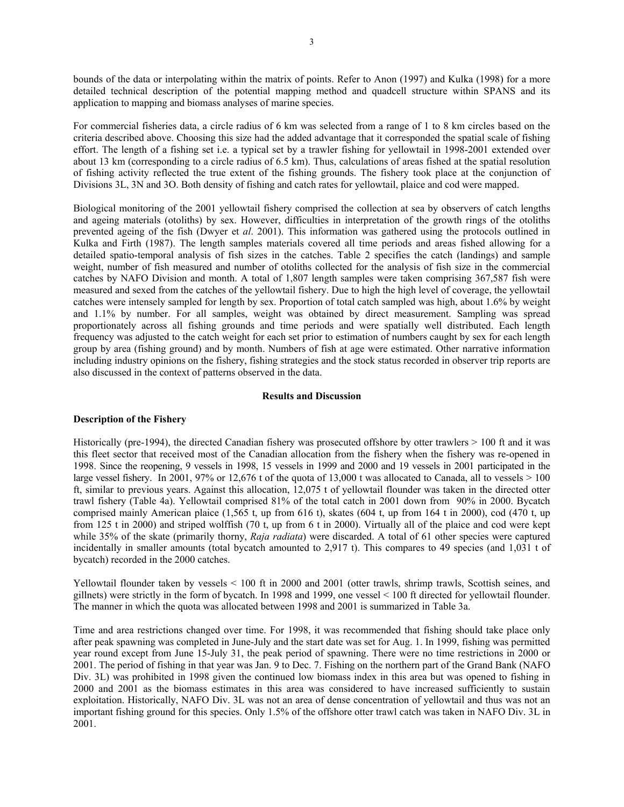bounds of the data or interpolating within the matrix of points. Refer to Anon (1997) and Kulka (1998) for a more detailed technical description of the potential mapping method and quadcell structure within SPANS and its application to mapping and biomass analyses of marine species.

For commercial fisheries data, a circle radius of 6 km was selected from a range of 1 to 8 km circles based on the criteria described above. Choosing this size had the added advantage that it corresponded the spatial scale of fishing effort. The length of a fishing set i.e. a typical set by a trawler fishing for yellowtail in 1998-2001 extended over about 13 km (corresponding to a circle radius of 6.5 km). Thus, calculations of areas fished at the spatial resolution of fishing activity reflected the true extent of the fishing grounds. The fishery took place at the conjunction of Divisions 3L, 3N and 3O. Both density of fishing and catch rates for yellowtail, plaice and cod were mapped.

Biological monitoring of the 2001 yellowtail fishery comprised the collection at sea by observers of catch lengths and ageing materials (otoliths) by sex. However, difficulties in interpretation of the growth rings of the otoliths prevented ageing of the fish (Dwyer et *al*. 2001). This information was gathered using the protocols outlined in Kulka and Firth (1987). The length samples materials covered all time periods and areas fished allowing for a detailed spatio-temporal analysis of fish sizes in the catches. Table 2 specifies the catch (landings) and sample weight, number of fish measured and number of otoliths collected for the analysis of fish size in the commercial catches by NAFO Division and month. A total of 1,807 length samples were taken comprising 367,587 fish were measured and sexed from the catches of the yellowtail fishery. Due to high the high level of coverage, the yellowtail catches were intensely sampled for length by sex. Proportion of total catch sampled was high, about 1.6% by weight and 1.1% by number. For all samples, weight was obtained by direct measurement. Sampling was spread proportionately across all fishing grounds and time periods and were spatially well distributed. Each length frequency was adjusted to the catch weight for each set prior to estimation of numbers caught by sex for each length group by area (fishing ground) and by month. Numbers of fish at age were estimated. Other narrative information including industry opinions on the fishery, fishing strategies and the stock status recorded in observer trip reports are also discussed in the context of patterns observed in the data.

## **Results and Discussion**

## **Description of the Fishery**

Historically (pre-1994), the directed Canadian fishery was prosecuted offshore by otter trawlers > 100 ft and it was this fleet sector that received most of the Canadian allocation from the fishery when the fishery was re-opened in 1998. Since the reopening, 9 vessels in 1998, 15 vessels in 1999 and 2000 and 19 vessels in 2001 participated in the large vessel fishery. In 2001, 97% or 12,676 t of the quota of 13,000 t was allocated to Canada, all to vessels  $> 100$ ft, similar to previous years. Against this allocation, 12,075 t of yellowtail flounder was taken in the directed otter trawl fishery (Table 4a). Yellowtail comprised 81% of the total catch in 2001 down from 90% in 2000. Bycatch comprised mainly American plaice (1,565 t, up from 616 t), skates (604 t, up from 164 t in 2000), cod (470 t, up from 125 t in 2000) and striped wolffish (70 t, up from 6 t in 2000). Virtually all of the plaice and cod were kept while 35% of the skate (primarily thorny, *Raja radiata*) were discarded. A total of 61 other species were captured incidentally in smaller amounts (total bycatch amounted to 2,917 t). This compares to 49 species (and 1,031 t of bycatch) recorded in the 2000 catches.

Yellowtail flounder taken by vessels < 100 ft in 2000 and 2001 (otter trawls, shrimp trawls, Scottish seines, and gillnets) were strictly in the form of bycatch. In 1998 and 1999, one vessel < 100 ft directed for yellowtail flounder. The manner in which the quota was allocated between 1998 and 2001 is summarized in Table 3a.

Time and area restrictions changed over time. For 1998, it was recommended that fishing should take place only after peak spawning was completed in June-July and the start date was set for Aug. 1. In 1999, fishing was permitted year round except from June 15-July 31, the peak period of spawning. There were no time restrictions in 2000 or 2001. The period of fishing in that year was Jan. 9 to Dec. 7. Fishing on the northern part of the Grand Bank (NAFO Div. 3L) was prohibited in 1998 given the continued low biomass index in this area but was opened to fishing in 2000 and 2001 as the biomass estimates in this area was considered to have increased sufficiently to sustain exploitation. Historically, NAFO Div. 3L was not an area of dense concentration of yellowtail and thus was not an important fishing ground for this species. Only 1.5% of the offshore otter trawl catch was taken in NAFO Div. 3L in 2001.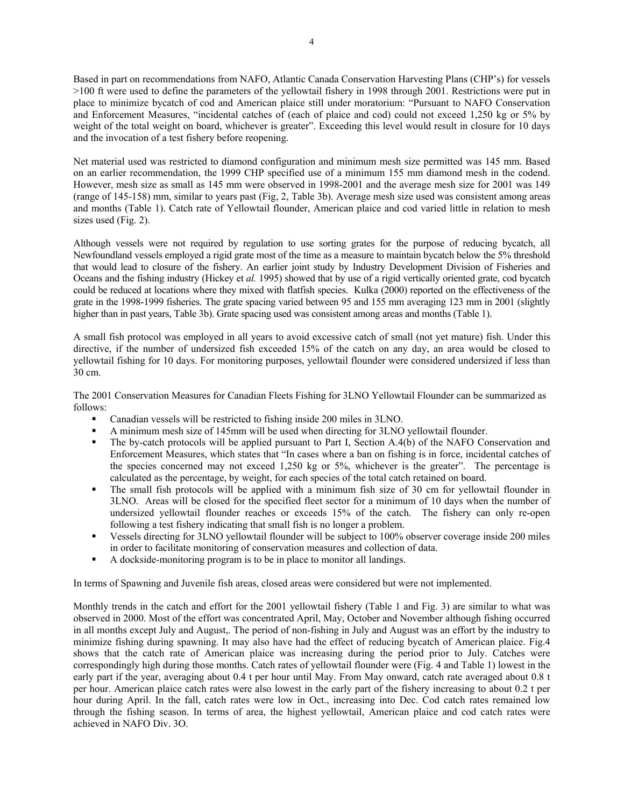Based in part on recommendations from NAFO, Atlantic Canada Conservation Harvesting Plans (CHP's) for vessels >100 ft were used to define the parameters of the yellowtail fishery in 1998 through 2001. Restrictions were put in place to minimize bycatch of cod and American plaice still under moratorium: "Pursuant to NAFO Conservation and Enforcement Measures, "incidental catches of (each of plaice and cod) could not exceed 1,250 kg or 5% by weight of the total weight on board, whichever is greater". Exceeding this level would result in closure for 10 days and the invocation of a test fishery before reopening.

Net material used was restricted to diamond configuration and minimum mesh size permitted was 145 mm. Based on an earlier recommendation, the 1999 CHP specified use of a minimum 155 mm diamond mesh in the codend. However, mesh size as small as 145 mm were observed in 1998-2001 and the average mesh size for 2001 was 149 (range of 145-158) mm, similar to years past (Fig, 2, Table 3b). Average mesh size used was consistent among areas and months (Table 1). Catch rate of Yellowtail flounder, American plaice and cod varied little in relation to mesh sizes used (Fig. 2).

Although vessels were not required by regulation to use sorting grates for the purpose of reducing bycatch, all Newfoundland vessels employed a rigid grate most of the time as a measure to maintain bycatch below the 5% threshold that would lead to closure of the fishery. An earlier joint study by Industry Development Division of Fisheries and Oceans and the fishing industry (Hickey et *al.* 1995) showed that by use of a rigid vertically oriented grate, cod bycatch could be reduced at locations where they mixed with flatfish species. Kulka (2000) reported on the effectiveness of the grate in the 1998-1999 fisheries. The grate spacing varied between 95 and 155 mm averaging 123 mm in 2001 (slightly higher than in past years, Table 3b). Grate spacing used was consistent among areas and months (Table 1).

A small fish protocol was employed in all years to avoid excessive catch of small (not yet mature) fish. Under this directive, if the number of undersized fish exceeded 15% of the catch on any day, an area would be closed to yellowtail fishing for 10 days. For monitoring purposes, yellowtail flounder were considered undersized if less than 30 cm.

The 2001 Conservation Measures for Canadian Fleets Fishing for 3LNO Yellowtail Flounder can be summarized as follows:

- Canadian vessels will be restricted to fishing inside 200 miles in 3LNO.
- A minimum mesh size of 145mm will be used when directing for 3LNO yellowtail flounder.
- The by-catch protocols will be applied pursuant to Part I, Section A.4(b) of the NAFO Conservation and Enforcement Measures, which states that "In cases where a ban on fishing is in force, incidental catches of the species concerned may not exceed 1,250 kg or 5%, whichever is the greater". The percentage is calculated as the percentage, by weight, for each species of the total catch retained on board.
- The small fish protocols will be applied with a minimum fish size of 30 cm for yellowtail flounder in 3LNO. Areas will be closed for the specified fleet sector for a minimum of 10 days when the number of undersized yellowtail flounder reaches or exceeds 15% of the catch. The fishery can only re-open following a test fishery indicating that small fish is no longer a problem.
- Vessels directing for 3LNO yellowtail flounder will be subject to 100% observer coverage inside 200 miles in order to facilitate monitoring of conservation measures and collection of data.
- A dockside-monitoring program is to be in place to monitor all landings.

In terms of Spawning and Juvenile fish areas, closed areas were considered but were not implemented.

Monthly trends in the catch and effort for the 2001 yellowtail fishery (Table 1 and Fig. 3) are similar to what was observed in 2000. Most of the effort was concentrated April, May, October and November although fishing occurred in all months except July and August,. The period of non-fishing in July and August was an effort by the industry to minimize fishing during spawning. It may also have had the effect of reducing bycatch of American plaice. Fig.4 shows that the catch rate of American plaice was increasing during the period prior to July. Catches were correspondingly high during those months. Catch rates of yellowtail flounder were (Fig. 4 and Table 1) lowest in the early part if the year, averaging about 0.4 t per hour until May. From May onward, catch rate averaged about 0.8 t per hour. American plaice catch rates were also lowest in the early part of the fishery increasing to about 0.2 t per hour during April. In the fall, catch rates were low in Oct., increasing into Dec. Cod catch rates remained low through the fishing season. In terms of area, the highest yellowtail, American plaice and cod catch rates were achieved in NAFO Div. 3O.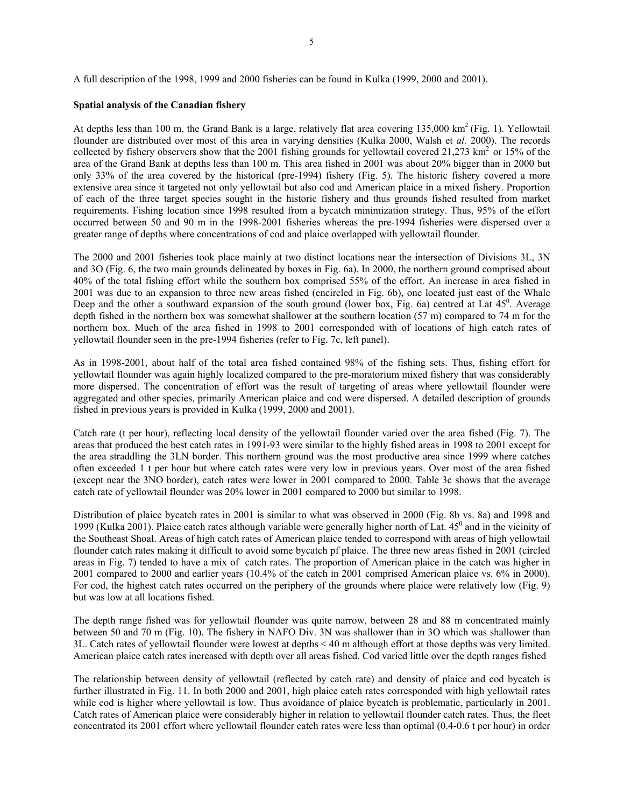A full description of the 1998, 1999 and 2000 fisheries can be found in Kulka (1999, 2000 and 2001).

### **Spatial analysis of the Canadian fishery**

At depths less than 100 m, the Grand Bank is a large, relatively flat area covering 135,000 km2 (Fig. 1). Yellowtail flounder are distributed over most of this area in varying densities (Kulka 2000, Walsh et *al.* 2000). The records collected by fishery observers show that the 2001 fishing grounds for yellowtail covered 21,273 km<sup>2</sup> or 15% of the area of the Grand Bank at depths less than 100 m. This area fished in 2001 was about 20% bigger than in 2000 but only 33% of the area covered by the historical (pre-1994) fishery (Fig. 5). The historic fishery covered a more extensive area since it targeted not only yellowtail but also cod and American plaice in a mixed fishery. Proportion of each of the three target species sought in the historic fishery and thus grounds fished resulted from market requirements. Fishing location since 1998 resulted from a bycatch minimization strategy. Thus, 95% of the effort occurred between 50 and 90 m in the 1998-2001 fisheries whereas the pre-1994 fisheries were dispersed over a greater range of depths where concentrations of cod and plaice overlapped with yellowtail flounder.

The 2000 and 2001 fisheries took place mainly at two distinct locations near the intersection of Divisions 3L, 3N and 3O (Fig. 6, the two main grounds delineated by boxes in Fig. 6a). In 2000, the northern ground comprised about 40% of the total fishing effort while the southern box comprised 55% of the effort. An increase in area fished in 2001 was due to an expansion to three new areas fished (encircled in Fig. 6b), one located just east of the Whale Deep and the other a southward expansion of the south ground (lower box, Fig. 6a) centred at Lat 45<sup>0</sup>. Average depth fished in the northern box was somewhat shallower at the southern location (57 m) compared to 74 m for the northern box. Much of the area fished in 1998 to 2001 corresponded with of locations of high catch rates of yellowtail flounder seen in the pre-1994 fisheries (refer to Fig. 7c, left panel).

As in 1998-2001, about half of the total area fished contained 98% of the fishing sets. Thus, fishing effort for yellowtail flounder was again highly localized compared to the pre-moratorium mixed fishery that was considerably more dispersed. The concentration of effort was the result of targeting of areas where yellowtail flounder were aggregated and other species, primarily American plaice and cod were dispersed. A detailed description of grounds fished in previous years is provided in Kulka (1999, 2000 and 2001).

Catch rate (t per hour), reflecting local density of the yellowtail flounder varied over the area fished (Fig. 7). The areas that produced the best catch rates in 1991-93 were similar to the highly fished areas in 1998 to 2001 except for the area straddling the 3LN border. This northern ground was the most productive area since 1999 where catches often exceeded 1 t per hour but where catch rates were very low in previous years. Over most of the area fished (except near the 3NO border), catch rates were lower in 2001 compared to 2000. Table 3c shows that the average catch rate of yellowtail flounder was 20% lower in 2001 compared to 2000 but similar to 1998.

Distribution of plaice bycatch rates in 2001 is similar to what was observed in 2000 (Fig. 8b vs. 8a) and 1998 and 1999 (Kulka 2001). Plaice catch rates although variable were generally higher north of Lat.  $45^0$  and in the vicinity of the Southeast Shoal. Areas of high catch rates of American plaice tended to correspond with areas of high yellowtail flounder catch rates making it difficult to avoid some bycatch pf plaice. The three new areas fished in 2001 (circled areas in Fig. 7) tended to have a mix of catch rates. The proportion of American plaice in the catch was higher in 2001 compared to 2000 and earlier years (10.4% of the catch in 2001 comprised American plaice vs. 6% in 2000). For cod, the highest catch rates occurred on the periphery of the grounds where plaice were relatively low (Fig. 9) but was low at all locations fished.

The depth range fished was for yellowtail flounder was quite narrow, between 28 and 88 m concentrated mainly between 50 and 70 m (Fig. 10). The fishery in NAFO Div. 3N was shallower than in 3O which was shallower than 3L. Catch rates of yellowtail flounder were lowest at depths < 40 m although effort at those depths was very limited. American plaice catch rates increased with depth over all areas fished. Cod varied little over the depth ranges fished

The relationship between density of yellowtail (reflected by catch rate) and density of plaice and cod bycatch is further illustrated in Fig. 11. In both 2000 and 2001, high plaice catch rates corresponded with high yellowtail rates while cod is higher where yellowtail is low. Thus avoidance of plaice bycatch is problematic, particularly in 2001. Catch rates of American plaice were considerably higher in relation to yellowtail flounder catch rates. Thus, the fleet concentrated its 2001 effort where yellowtail flounder catch rates were less than optimal (0.4-0.6 t per hour) in order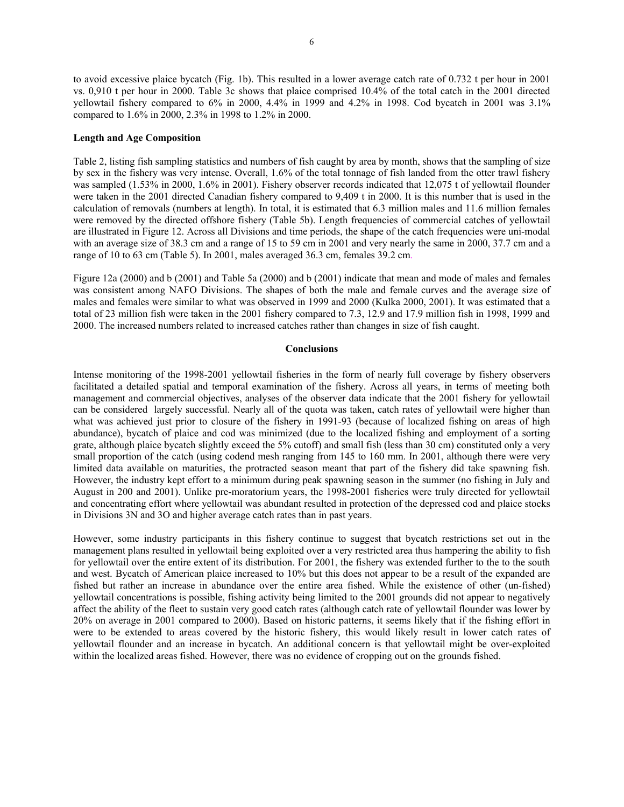to avoid excessive plaice bycatch (Fig. 1b). This resulted in a lower average catch rate of 0.732 t per hour in 2001 vs. 0,910 t per hour in 2000. Table 3c shows that plaice comprised 10.4% of the total catch in the 2001 directed yellowtail fishery compared to 6% in 2000, 4.4% in 1999 and 4.2% in 1998. Cod bycatch in 2001 was 3.1% compared to 1.6% in 2000, 2.3% in 1998 to 1.2% in 2000.

# **Length and Age Composition**

Table 2, listing fish sampling statistics and numbers of fish caught by area by month, shows that the sampling of size by sex in the fishery was very intense. Overall, 1.6% of the total tonnage of fish landed from the otter trawl fishery was sampled (1.53% in 2000, 1.6% in 2001). Fishery observer records indicated that 12,075 t of yellowtail flounder were taken in the 2001 directed Canadian fishery compared to 9,409 t in 2000. It is this number that is used in the calculation of removals (numbers at length). In total, it is estimated that 6.3 million males and 11.6 million females were removed by the directed offshore fishery (Table 5b). Length frequencies of commercial catches of yellowtail are illustrated in Figure 12. Across all Divisions and time periods, the shape of the catch frequencies were uni-modal with an average size of 38.3 cm and a range of 15 to 59 cm in 2001 and very nearly the same in 2000, 37.7 cm and a range of 10 to 63 cm (Table 5). In 2001, males averaged 36.3 cm, females 39.2 cm.

Figure 12a (2000) and b (2001) and Table 5a (2000) and b (2001) indicate that mean and mode of males and females was consistent among NAFO Divisions. The shapes of both the male and female curves and the average size of males and females were similar to what was observed in 1999 and 2000 (Kulka 2000, 2001). It was estimated that a total of 23 million fish were taken in the 2001 fishery compared to 7.3, 12.9 and 17.9 million fish in 1998, 1999 and 2000. The increased numbers related to increased catches rather than changes in size of fish caught.

#### **Conclusions**

Intense monitoring of the 1998-2001 yellowtail fisheries in the form of nearly full coverage by fishery observers facilitated a detailed spatial and temporal examination of the fishery. Across all years, in terms of meeting both management and commercial objectives, analyses of the observer data indicate that the 2001 fishery for yellowtail can be considered largely successful. Nearly all of the quota was taken, catch rates of yellowtail were higher than what was achieved just prior to closure of the fishery in 1991-93 (because of localized fishing on areas of high abundance), bycatch of plaice and cod was minimized (due to the localized fishing and employment of a sorting grate, although plaice bycatch slightly exceed the 5% cutoff) and small fish (less than 30 cm) constituted only a very small proportion of the catch (using codend mesh ranging from 145 to 160 mm. In 2001, although there were very limited data available on maturities, the protracted season meant that part of the fishery did take spawning fish. However, the industry kept effort to a minimum during peak spawning season in the summer (no fishing in July and August in 200 and 2001). Unlike pre-moratorium years, the 1998-2001 fisheries were truly directed for yellowtail and concentrating effort where yellowtail was abundant resulted in protection of the depressed cod and plaice stocks in Divisions 3N and 3O and higher average catch rates than in past years.

However, some industry participants in this fishery continue to suggest that bycatch restrictions set out in the management plans resulted in yellowtail being exploited over a very restricted area thus hampering the ability to fish for yellowtail over the entire extent of its distribution. For 2001, the fishery was extended further to the to the south and west. Bycatch of American plaice increased to 10% but this does not appear to be a result of the expanded are fished but rather an increase in abundance over the entire area fished. While the existence of other (un-fished) yellowtail concentrations is possible, fishing activity being limited to the 2001 grounds did not appear to negatively affect the ability of the fleet to sustain very good catch rates (although catch rate of yellowtail flounder was lower by 20% on average in 2001 compared to 2000). Based on historic patterns, it seems likely that if the fishing effort in were to be extended to areas covered by the historic fishery, this would likely result in lower catch rates of yellowtail flounder and an increase in bycatch. An additional concern is that yellowtail might be over-exploited within the localized areas fished. However, there was no evidence of cropping out on the grounds fished.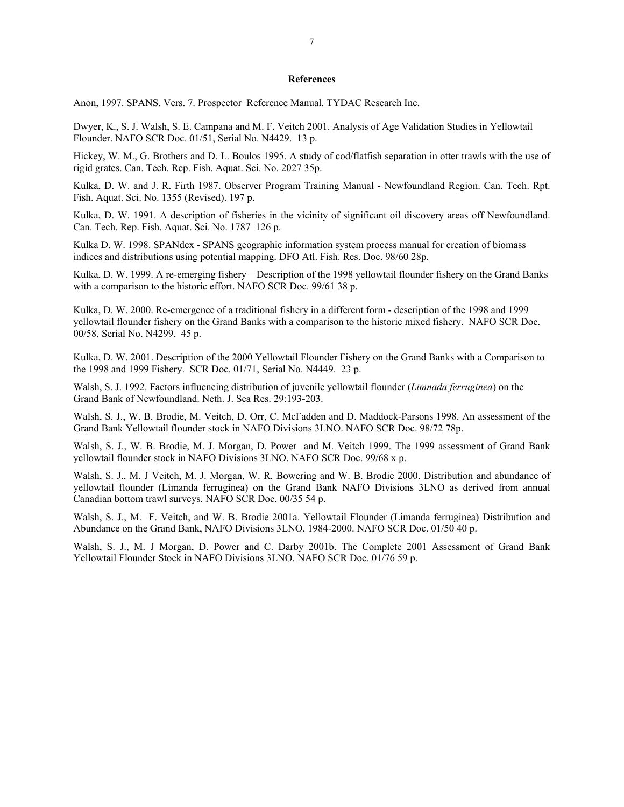#### **References**

Anon, 1997. SPANS. Vers. 7. Prospector Reference Manual. TYDAC Research Inc.

Dwyer, K., S. J. Walsh, S. E. Campana and M. F. Veitch 2001. Analysis of Age Validation Studies in Yellowtail Flounder. NAFO SCR Doc. 01/51, Serial No. N4429. 13 p.

Hickey, W. M., G. Brothers and D. L. Boulos 1995. A study of cod/flatfish separation in otter trawls with the use of rigid grates. Can. Tech. Rep. Fish. Aquat. Sci. No. 2027 35p.

Kulka, D. W. and J. R. Firth 1987. Observer Program Training Manual - Newfoundland Region. Can. Tech. Rpt. Fish. Aquat. Sci. No. 1355 (Revised). 197 p.

Kulka, D. W. 1991. A description of fisheries in the vicinity of significant oil discovery areas off Newfoundland. Can. Tech. Rep. Fish. Aquat. Sci. No. 1787 126 p.

Kulka D. W. 1998. SPANdex - SPANS geographic information system process manual for creation of biomass indices and distributions using potential mapping. DFO Atl. Fish. Res. Doc. 98/60 28p.

Kulka, D. W. 1999. A re-emerging fishery – Description of the 1998 yellowtail flounder fishery on the Grand Banks with a comparison to the historic effort. NAFO SCR Doc. 99/61 38 p.

Kulka, D. W. 2000. Re-emergence of a traditional fishery in a different form - description of the 1998 and 1999 yellowtail flounder fishery on the Grand Banks with a comparison to the historic mixed fishery. NAFO SCR Doc. 00/58, Serial No. N4299. 45 p.

Kulka, D. W. 2001. Description of the 2000 Yellowtail Flounder Fishery on the Grand Banks with a Comparison to the 1998 and 1999 Fishery. SCR Doc. 01/71, Serial No. N4449. 23 p.

Walsh, S. J. 1992. Factors influencing distribution of juvenile yellowtail flounder (*Limnada ferruginea*) on the Grand Bank of Newfoundland. Neth. J. Sea Res. 29:193-203.

Walsh, S. J., W. B. Brodie, M. Veitch, D. Orr, C. McFadden and D. Maddock-Parsons 1998. An assessment of the Grand Bank Yellowtail flounder stock in NAFO Divisions 3LNO. NAFO SCR Doc. 98/72 78p.

Walsh, S. J., W. B. Brodie, M. J. Morgan, D. Power and M. Veitch 1999. The 1999 assessment of Grand Bank yellowtail flounder stock in NAFO Divisions 3LNO. NAFO SCR Doc. 99/68 x p.

Walsh, S. J., M. J Veitch, M. J. Morgan, W. R. Bowering and W. B. Brodie 2000. Distribution and abundance of yellowtail flounder (Limanda ferruginea) on the Grand Bank NAFO Divisions 3LNO as derived from annual Canadian bottom trawl surveys. NAFO SCR Doc. 00/35 54 p.

Walsh, S. J., M. F. Veitch, and W. B. Brodie 2001a. Yellowtail Flounder (Limanda ferruginea) Distribution and Abundance on the Grand Bank, NAFO Divisions 3LNO, 1984-2000. NAFO SCR Doc. 01/50 40 p.

Walsh, S. J., M. J Morgan, D. Power and C. Darby 2001b. The Complete 2001 Assessment of Grand Bank Yellowtail Flounder Stock in NAFO Divisions 3LNO. NAFO SCR Doc. 01/76 59 p.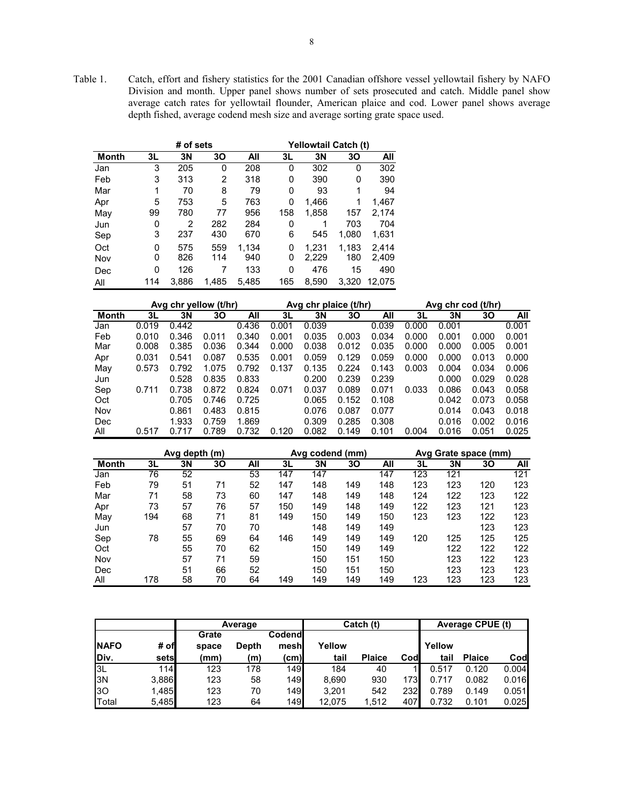Table 1. Catch, effort and fishery statistics for the 2001 Canadian offshore vessel yellowtail fishery by NAFO Division and month. Upper panel shows number of sets prosecuted and catch. Middle panel show average catch rates for yellowtail flounder, American plaice and cod. Lower panel shows average depth fished, average codend mesh size and average sorting grate space used.

|              |     | # of sets |       |       |     | Yellowtail Catch (t) |       | All<br>302<br>390<br>94<br>1,467<br>2,174 |  |  |  |  |  |
|--------------|-----|-----------|-------|-------|-----|----------------------|-------|-------------------------------------------|--|--|--|--|--|
| <b>Month</b> | 3L  | 3N        | 30    | All   | 3L  | 3N                   | 30    |                                           |  |  |  |  |  |
| Jan          | 3   | 205       | 0     | 208   | 0   | 302                  | 0     |                                           |  |  |  |  |  |
| Feb          | 3   | 313       | 2     | 318   | 0   | 390                  | 0     |                                           |  |  |  |  |  |
| Mar          | 1   | 70        | 8     | 79    | 0   | 93                   | 1     |                                           |  |  |  |  |  |
| Apr          | 5   | 753       | 5     | 763   | 0   | 1,466                | 1     |                                           |  |  |  |  |  |
| May          | 99  | 780       | 77    | 956   | 158 | 1,858                | 157   |                                           |  |  |  |  |  |
| Jun          | 0   | 2         | 282   | 284   | 0   | 1                    | 703   | 704                                       |  |  |  |  |  |
| Sep          | 3   | 237       | 430   | 670   | 6   | 545                  | 1,080 | 1,631                                     |  |  |  |  |  |
| Oct          | 0   | 575       | 559   | 1.134 | 0   | 1.231                | 1,183 | 2,414                                     |  |  |  |  |  |
| Nov          | 0   | 826       | 114   | 940   | 0   | 2,229                | 180   | 2,409                                     |  |  |  |  |  |
| Dec          | 0   | 126       | 7     | 133   | 0   | 476                  | 15    | 490                                       |  |  |  |  |  |
| All          | 114 | 3.886     | 1.485 | 5.485 | 165 | 8,590                | 3.320 | 12.075                                    |  |  |  |  |  |

|       |       | Avg chr yellow (t/hr) |       |       |       | Avg chr plaice (t/hr) |       |       |       | Avg chr cod | (t/hr) |       |
|-------|-------|-----------------------|-------|-------|-------|-----------------------|-------|-------|-------|-------------|--------|-------|
| Month | 3L    | 3N                    | 30    | All   | 3L    | 3N                    | 30    | All   | 3L    | 3N          | 30     | All   |
| Jan   | 0.019 | 0.442                 |       | 0.436 | 0.001 | 0.039                 |       | 0.039 | 0.000 | 0.001       |        | 0.001 |
| Feb   | 0.010 | 0.346                 | 0.011 | 0.340 | 0.001 | 0.035                 | 0.003 | 0.034 | 0.000 | 0.001       | 0.000  | 0.001 |
| Mar   | 0.008 | 0.385                 | 0.036 | 0.344 | 0.000 | 0.038                 | 0.012 | 0.035 | 0.000 | 0.000       | 0.005  | 0.001 |
| Apr   | 0.031 | 0.541                 | 0.087 | 0.535 | 0.001 | 0.059                 | 0.129 | 0.059 | 0.000 | 0.000       | 0.013  | 0.000 |
| May   | 0.573 | 0.792                 | 1.075 | 0.792 | 0.137 | 0.135                 | 0.224 | 0.143 | 0.003 | 0.004       | 0.034  | 0.006 |
| Jun   |       | 0.528                 | 0.835 | 0.833 |       | 0.200                 | 0.239 | 0.239 |       | 0.000       | 0.029  | 0.028 |
| Sep   | 0.711 | 0.738                 | 0.872 | 0.824 | 0.071 | 0.037                 | 0.089 | 0.071 | 0.033 | 0.086       | 0.043  | 0.058 |
| Oct   |       | 0.705                 | 0.746 | 0.725 |       | 0.065                 | 0.152 | 0.108 |       | 0.042       | 0.073  | 0.058 |
| Nov   |       | 0.861                 | 0.483 | 0.815 |       | 0.076                 | 0.087 | 0.077 |       | 0.014       | 0.043  | 0.018 |
| Dec   |       | 1.933                 | 0.759 | 1.869 |       | 0.309                 | 0.285 | 0.308 |       | 0.016       | 0.002  | 0.016 |
| All   | 0.517 | 0.717                 | 0.789 | 0.732 | 0.120 | 0.082                 | 0.149 | 0.101 | 0.004 | 0.016       | 0.051  | 0.025 |

|       |     | Avg depth (m) |    |     |     | Avg codend (mm) |     |     |     | Avg Grate space (mm)<br>3L<br>3Ν<br>30<br>123<br>121<br>123<br>123<br>120<br>124<br>122<br>123<br>122<br>123<br>121<br>123<br>123<br>122<br>123 |     |     |  |
|-------|-----|---------------|----|-----|-----|-----------------|-----|-----|-----|-------------------------------------------------------------------------------------------------------------------------------------------------|-----|-----|--|
| Month | 3L  | 3N            | 30 | All | 3L  | 3N              | 30  | All |     |                                                                                                                                                 |     | All |  |
| Jan   | 76  | 52            |    | 53  | 147 | 147             |     | 147 |     |                                                                                                                                                 |     | 121 |  |
| Feb   | 79  | 51            | 71 | 52  | 147 | 148             | 149 | 148 |     |                                                                                                                                                 |     | 123 |  |
| Mar   | 71  | 58            | 73 | 60  | 147 | 148             | 149 | 148 |     |                                                                                                                                                 |     | 122 |  |
| Apr   | 73  | 57            | 76 | 57  | 150 | 149             | 148 | 149 |     |                                                                                                                                                 |     | 123 |  |
| May   | 194 | 68            | 71 | 81  | 149 | 150             | 149 | 150 |     |                                                                                                                                                 |     | 123 |  |
| Jun   |     | 57            | 70 | 70  |     | 148             | 149 | 149 |     |                                                                                                                                                 |     | 123 |  |
| Sep   | 78  | 55            | 69 | 64  | 146 | 149             | 149 | 149 | 120 | 125                                                                                                                                             | 125 | 125 |  |
| Oct   |     | 55            | 70 | 62  |     | 150             | 149 | 149 |     | 122                                                                                                                                             | 122 | 122 |  |
| Nov   |     | 57            | 71 | 59  |     | 150             | 151 | 150 |     | 123                                                                                                                                             | 122 | 123 |  |
| Dec   |     | 51            | 66 | 52  |     | 150             | 151 | 150 |     | 123                                                                                                                                             | 123 | 123 |  |
| All   | 178 | 58            | 70 | 64  | 149 | 149             | 149 | 149 | 123 | 123                                                                                                                                             | 123 | 123 |  |

|               |       |       | Average      |        |        | Catch (t)     |      |        | Average CPUE (t) |       |
|---------------|-------|-------|--------------|--------|--------|---------------|------|--------|------------------|-------|
|               |       | Grate |              | Codend |        |               |      |        |                  |       |
| <b>INAFO</b>  | # ofl | space | <b>Depth</b> | mesh   | Yellow |               |      | Yellow |                  |       |
| IDiv.         | setsl | (mm)  | (m)          | (cm)I  | tail   | <b>Plaice</b> | Codl | tail   | <b>Plaice</b>    | Cod   |
| 3L            | 114   | 123   | 178          | 149    | 184    | 40            |      | 0.517  | 0.120            | 0.004 |
| 3N            | 3,886 | 123   | 58           | 149    | 8.690  | 930           | 173  | 0.717  | 0.082            | 0.016 |
| 130           | 1,485 | 123   | 70           | 149    | 3.201  | 542           | 232  | 0.789  | 0.149            | 0.051 |
| <b>T</b> otal | 5,485 | 123   | 64           | 149    | 12.075 | 1,512         | 407  | 0.732  | 0.101            | 0.025 |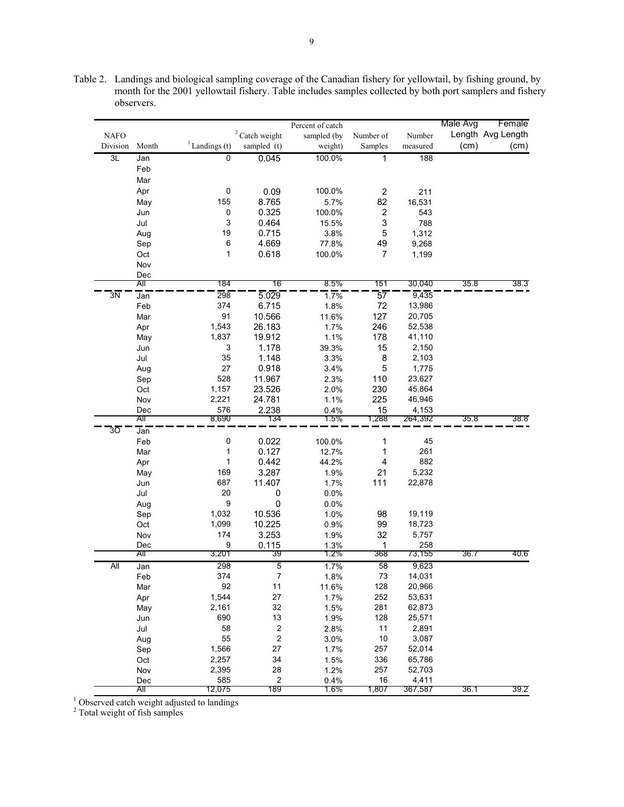Table 2. Landings and biological sampling coverage of the Canadian fishery for yellowtail, by fishing ground, by month for the 2001 yellowtail fishery. Table includes samples collected by both port samplers and fishery observers.

|                 |       |                            |                  | Percent of catch |                         |          | Male Avg | Female            |
|-----------------|-------|----------------------------|------------------|------------------|-------------------------|----------|----------|-------------------|
| <b>NAFO</b>     |       |                            | $2$ Catch weight | sampled (by      | Number of               | Number   |          | Length Avg Length |
| Division        | Month | $\frac{1}{2}$ Landings (t) | sampled (t)      | weight)          | Samples                 | measured | (cm)     | (cm)              |
| 3L              | Jan   | $\overline{0}$             | 0.045            | 100.0%           | 1                       | 188      |          |                   |
|                 | Feb   |                            |                  |                  |                         |          |          |                   |
|                 | Mar   |                            |                  |                  |                         |          |          |                   |
|                 | Apr   | $\pmb{0}$                  | 0.09             | 100.0%           | $\overline{\mathbf{c}}$ | 211      |          |                   |
|                 | May   | 155                        | 8.765            | 5.7%             | 82                      | 16,531   |          |                   |
|                 | Jun   | 0                          | 0.325            | 100.0%           | $\overline{\mathbf{c}}$ | 543      |          |                   |
|                 | Jul   | 3                          | 0.464            | 15.5%            | 3                       | 788      |          |                   |
|                 | Aug   | 19                         | 0.715            | 3.8%             | 5                       | 1,312    |          |                   |
|                 | Sep   | 6                          | 4.669            | 77.8%            | 49                      | 9,268    |          |                   |
|                 | Oct   | 1                          | 0.618            | 100.0%           | $\overline{7}$          | 1,199    |          |                   |
|                 | Nov   |                            |                  |                  |                         |          |          |                   |
|                 | Dec   |                            |                  |                  |                         |          |          |                   |
|                 | All   | 184                        | 76               | 8.5%             | 151                     | 30,040   | 35.8     | 38.3              |
| $3\overline{N}$ | Jan   | 298                        | 5.029            | 1.7%             | 57                      | 9,435    |          |                   |
|                 | Feb   | 374                        | 6.715            | 1.8%             | 72                      | 13,986   |          |                   |
|                 | Mar   | 91                         | 10.566           | 11.6%            | 127                     | 20,705   |          |                   |
|                 | Apr   | 1,543                      | 26.183           | 1.7%             | 246                     | 52,538   |          |                   |
|                 | May   | 1,837                      | 19.912           | 1.1%             | 178                     | 41,110   |          |                   |
|                 | Jun   | 3                          | 1.178            | 39.3%            | 15                      | 2,150    |          |                   |
|                 | Jul   | 35                         | 1.148            | 3.3%             | 8                       | 2,103    |          |                   |
|                 | Aug   | 27                         | 0.918            | 3.4%             | 5                       | 1,775    |          |                   |
|                 | Sep   | 528                        | 11.967           | 2.3%             | 110                     | 23,627   |          |                   |
|                 | Oct   | 1,157                      | 23.526           | 2.0%             | 230                     | 45,864   |          |                   |
|                 | Nov   | 2,221                      | 24.781           | 1.1%             | 225                     | 46,946   |          |                   |
|                 | Dec   | 576                        | 2.238            | 0.4%             | 15                      | 4,153    |          |                   |
|                 | AΙΙ   | 8,690                      | 134              | 1.5%             | 1,288                   | 264,392  | 35.8     | 38.8              |
| $3\overline{O}$ | Jan   |                            |                  |                  |                         |          |          |                   |
|                 | Feb   | 0                          | 0.022            | 100.0%           | 1                       | 45       |          |                   |
|                 | Mar   | 1                          | 0.127            | 12.7%            | 1                       | 261      |          |                   |
|                 | Apr   | 1                          | 0.442            | 44.2%            | 4                       | 882      |          |                   |
|                 | May   | 169                        | 3.287            | 1.9%             | 21                      | 5,232    |          |                   |
|                 | Jun   | 687                        | 11.407           | 1.7%             | 111                     | 22,878   |          |                   |
|                 | Jul   | 20                         | 0                | 0.0%             |                         |          |          |                   |
|                 | Aug   | 9                          | 0                | 0.0%             |                         |          |          |                   |
|                 | Sep   | 1,032                      | 10.536           | 1.0%             | 98                      | 19,119   |          |                   |
|                 | Oct   | 1,099                      | 10.225           | 0.9%             | 99                      | 18,723   |          |                   |
|                 | Nov   | 174                        | 3.253            | 1.9%             | 32                      | 5,757    |          |                   |
|                 | Dec   | 9                          | 0.115            | 1.3%             | 1                       | 258      |          |                   |
|                 | All   | 3,201                      | 39               | 1.2%             | 368                     | 73,155   | 36.7     | 40.6              |
| All             | Jan   | 298                        | 5                | 1.7%             | 58                      | 9,623    |          |                   |
|                 | Feb   | 374                        | 7                | 1.8%             | 73                      | 14,031   |          |                   |
|                 | Mar   | 92                         | 11               | 11.6%            | 128                     | 20,966   |          |                   |
|                 | Apr   | 1,544                      | 27               | 1.7%             | 252                     | 53,631   |          |                   |
|                 | May   | 2,161                      | 32               | 1.5%             | 281                     | 62,873   |          |                   |
|                 | Jun   | 690                        | 13               | 1.9%             | 128                     | 25,571   |          |                   |
|                 | Jul   | 58                         | $\boldsymbol{2}$ | 2.8%             | 11                      | 2,891    |          |                   |
|                 | Aug   | 55                         | $\boldsymbol{2}$ | 3.0%             | 10                      | 3,087    |          |                   |
|                 | Sep   | 1,566                      | 27               | 1.7%             | 257                     | 52,014   |          |                   |
|                 | Oct   | 2,257                      | 34               | 1.5%             | 336                     | 65,786   |          |                   |
|                 | Nov   | 2,395                      | 28               | 1.2%             | 257                     | 52,703   |          |                   |
|                 | Dec   | 585                        | $\boldsymbol{2}$ | 0.4%             | $16\,$                  | 4,411    |          |                   |
|                 | Αll   | 12,075                     | 189              | 1.6%             | 1,807                   | 367,587  | 36.1     | 39.2              |

<sup>1</sup> Observed catch weight adjusted to landings  $2^2$  Total weight of fish samples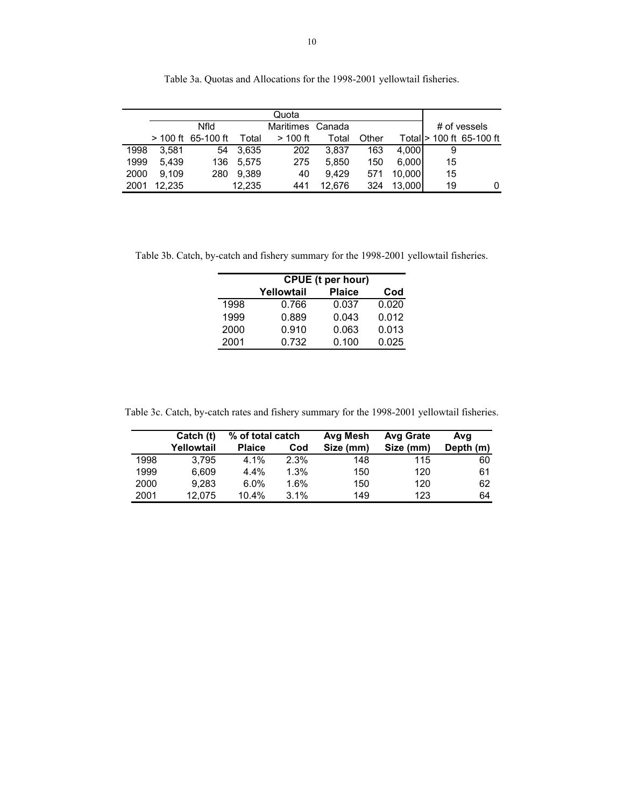|      |        |                      |        | Quota      |        |       |        |    |                           |
|------|--------|----------------------|--------|------------|--------|-------|--------|----|---------------------------|
|      |        | <b>Nfld</b>          |        | Maritimes  | Canada |       |        |    | # of vessels              |
|      |        | $> 100$ ft 65-100 ft | Total  | $>$ 100 ft | Total  | Other |        |    | Total  > 100 ft 65-100 ft |
| 1998 | 3.581  | 54                   | 3,635  | 202        | 3.837  | 163   | 4.000  | 9  |                           |
| 1999 | 5.439  | 136                  | 5.575  | 275        | 5.850  | 150   | 6.000  | 15 |                           |
| 2000 | 9.109  | 280                  | 9.389  | 40         | 9.429  | 571   | 10.000 | 15 |                           |
| 2001 | 12.235 |                      | 12,235 | 441        | 12.676 | 324   | 13.000 | 19 | 0                         |

Table 3a. Quotas and Allocations for the 1998-2001 yellowtail fisheries.

Table 3b. Catch, by-catch and fishery summary for the 1998-2001 yellowtail fisheries.

|      | CPUE (t per hour)                  |       |       |  |  |  |  |  |  |
|------|------------------------------------|-------|-------|--|--|--|--|--|--|
|      | <b>Plaice</b><br>Yellowtail<br>Cod |       |       |  |  |  |  |  |  |
| 1998 | 0.766                              | 0.037 | 0.020 |  |  |  |  |  |  |
| 1999 | 0.889                              | 0.043 | 0.012 |  |  |  |  |  |  |
| 2000 | 0.910                              | 0.063 | 0.013 |  |  |  |  |  |  |
| 2001 | 0.732                              | 0.100 | 0.025 |  |  |  |  |  |  |

Table 3c. Catch, by-catch rates and fishery summary for the 1998-2001 yellowtail fisheries.

|      | Catch (t)  | % of total catch |      | Avg Mesh  | <b>Avg Grate</b> | Ava       |
|------|------------|------------------|------|-----------|------------------|-----------|
|      | Yellowtail | <b>Plaice</b>    | Cod  | Size (mm) | Size (mm)        | Depth (m) |
| 1998 | 3.795      | 4.1%             | 2.3% | 148       | 115              | 60        |
| 1999 | 6.609      | 4.4%             | 1.3% | 150       | 120              | 61        |
| 2000 | 9.283      | 6.0%             | 1.6% | 150       | 120              | 62        |
| 2001 | 12.075     | $10.4\%$         | 3.1% | 149       | 123              | 64        |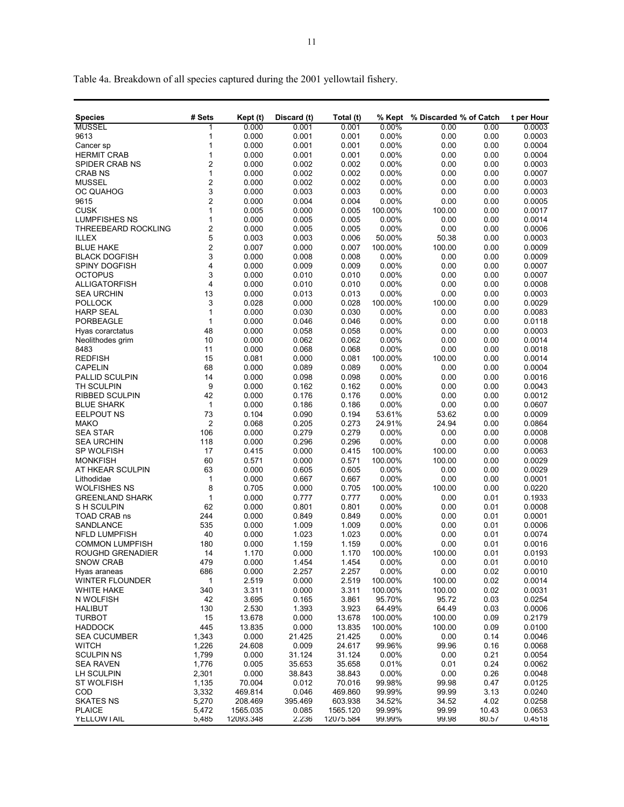Table 4a. Breakdown of all species captured during the 2001 yellowtail fishery.

| <b>MUSSEL</b><br>0.000<br>0.001<br>0.001<br>0.00%<br>0.00<br>0.00<br>1<br>0.000<br>9613<br>1<br>0.001<br>0.001<br>0.00%<br>0.00<br>0.00<br>1<br>0.000<br>0.001<br>0.001<br>0.00%<br>0.00<br>0.00<br>Cancer sp<br>0.000<br><b>HERMIT CRAB</b><br>1<br>0.001<br>0.001<br>0.00%<br>0.00<br>0.00<br>2<br>0.002<br>0.002<br>0.00%<br>0.00<br>SPIDER CRAB NS<br>0.000<br>0.00<br>$\mathbf{1}$<br>0.002<br>0.000<br>0.002<br>0.00%<br>0.00<br><b>CRAB NS</b><br>0.00<br>$\overline{c}$<br>0.002<br>0.00%<br>0.00<br><b>MUSSEL</b><br>0.000<br>0.002<br>0.00<br>3<br><b>OC QUAHOG</b><br>0.000<br>0.003<br>0.003<br>0.00%<br>0.00<br>0.00<br>$\overline{c}$<br>0.000<br>0.004<br>0.004<br>0.00%<br>0.00<br>0.00<br>9615<br>$\mathbf{1}$<br><b>CUSK</b><br>0.005<br>0.000<br>0.005<br>100.00%<br>100.00<br>0.00 | 0.0003<br>0.0003<br>0.0004<br>0.0004<br>0.0003<br>0.0007<br>0.0003<br>0.0003<br>0.0005<br>0.0017<br>0.0014<br>0.0006<br>0.0003<br>0.0009<br>0.0009<br>0.0007<br>0.0007 |
|--------------------------------------------------------------------------------------------------------------------------------------------------------------------------------------------------------------------------------------------------------------------------------------------------------------------------------------------------------------------------------------------------------------------------------------------------------------------------------------------------------------------------------------------------------------------------------------------------------------------------------------------------------------------------------------------------------------------------------------------------------------------------------------------------------|------------------------------------------------------------------------------------------------------------------------------------------------------------------------|
|                                                                                                                                                                                                                                                                                                                                                                                                                                                                                                                                                                                                                                                                                                                                                                                                        |                                                                                                                                                                        |
|                                                                                                                                                                                                                                                                                                                                                                                                                                                                                                                                                                                                                                                                                                                                                                                                        |                                                                                                                                                                        |
|                                                                                                                                                                                                                                                                                                                                                                                                                                                                                                                                                                                                                                                                                                                                                                                                        |                                                                                                                                                                        |
|                                                                                                                                                                                                                                                                                                                                                                                                                                                                                                                                                                                                                                                                                                                                                                                                        |                                                                                                                                                                        |
|                                                                                                                                                                                                                                                                                                                                                                                                                                                                                                                                                                                                                                                                                                                                                                                                        |                                                                                                                                                                        |
|                                                                                                                                                                                                                                                                                                                                                                                                                                                                                                                                                                                                                                                                                                                                                                                                        |                                                                                                                                                                        |
|                                                                                                                                                                                                                                                                                                                                                                                                                                                                                                                                                                                                                                                                                                                                                                                                        |                                                                                                                                                                        |
|                                                                                                                                                                                                                                                                                                                                                                                                                                                                                                                                                                                                                                                                                                                                                                                                        |                                                                                                                                                                        |
|                                                                                                                                                                                                                                                                                                                                                                                                                                                                                                                                                                                                                                                                                                                                                                                                        |                                                                                                                                                                        |
|                                                                                                                                                                                                                                                                                                                                                                                                                                                                                                                                                                                                                                                                                                                                                                                                        |                                                                                                                                                                        |
| <b>LUMPFISHES NS</b><br>1<br>0.000<br>0.005<br>0.005<br>0.00%<br>0.00<br>0.00                                                                                                                                                                                                                                                                                                                                                                                                                                                                                                                                                                                                                                                                                                                          |                                                                                                                                                                        |
| $\overline{\mathbf{c}}$<br>THREEBEARD ROCKLING<br>0.000<br>0.005<br>0.005<br>0.00%<br>0.00<br>0.00                                                                                                                                                                                                                                                                                                                                                                                                                                                                                                                                                                                                                                                                                                     |                                                                                                                                                                        |
| 5<br><b>ILLEX</b><br>0.003<br>0.003<br>0.006<br>50.00%<br>50.38<br>0.00                                                                                                                                                                                                                                                                                                                                                                                                                                                                                                                                                                                                                                                                                                                                |                                                                                                                                                                        |
| $\overline{\mathbf{c}}$<br><b>BLUE HAKE</b><br>0.007<br>0.000<br>0.007<br>100.00%<br>100.00<br>0.00                                                                                                                                                                                                                                                                                                                                                                                                                                                                                                                                                                                                                                                                                                    |                                                                                                                                                                        |
| 3<br>0.000<br>0.008<br>0.008<br>0.00%<br>0.00<br>0.00<br><b>BLACK DOGFISH</b>                                                                                                                                                                                                                                                                                                                                                                                                                                                                                                                                                                                                                                                                                                                          |                                                                                                                                                                        |
| 4<br>0.000<br>0.009<br>0.009<br>0.00%<br>0.00<br>0.00<br><b>SPINY DOGFISH</b>                                                                                                                                                                                                                                                                                                                                                                                                                                                                                                                                                                                                                                                                                                                          |                                                                                                                                                                        |
| 3<br><b>OCTOPUS</b><br>0.000<br>0.010<br>0.010<br>0.00%<br>0.00<br>0.00                                                                                                                                                                                                                                                                                                                                                                                                                                                                                                                                                                                                                                                                                                                                |                                                                                                                                                                        |
| 4<br>0.00<br><b>ALLIGATORFISH</b><br>0.000<br>0.010<br>0.010<br>0.00%<br>0.00                                                                                                                                                                                                                                                                                                                                                                                                                                                                                                                                                                                                                                                                                                                          | 0.0008                                                                                                                                                                 |
| 13<br>0.000<br>0.013<br>0.013<br>0.00%<br>0.00<br>0.00<br><b>SEA URCHIN</b>                                                                                                                                                                                                                                                                                                                                                                                                                                                                                                                                                                                                                                                                                                                            | 0.0003                                                                                                                                                                 |
| 3<br>0.000<br>0.028<br>0.028<br>100.00%<br>100.00<br>0.00<br><b>POLLOCK</b>                                                                                                                                                                                                                                                                                                                                                                                                                                                                                                                                                                                                                                                                                                                            | 0.0029                                                                                                                                                                 |
| <b>HARP SEAL</b><br>$\mathbf{1}$<br>0.000<br>0.030<br>0.030<br>0.00%<br>0.00<br>0.00                                                                                                                                                                                                                                                                                                                                                                                                                                                                                                                                                                                                                                                                                                                   | 0.0083                                                                                                                                                                 |
| $\mathbf{1}$<br>0.00<br><b>PORBEAGLE</b><br>0.000<br>0.046<br>0.046<br>0.00%<br>0.00                                                                                                                                                                                                                                                                                                                                                                                                                                                                                                                                                                                                                                                                                                                   | 0.0118                                                                                                                                                                 |
| 48<br>0.000<br>0.058<br>0.058<br>0.00%<br>0.00<br>0.00<br>Hyas corarctatus                                                                                                                                                                                                                                                                                                                                                                                                                                                                                                                                                                                                                                                                                                                             | 0.0003                                                                                                                                                                 |
| 10<br>0.000<br>0.062<br>0.062<br>0.00%<br>0.00<br>0.00<br>Neolithodes grim                                                                                                                                                                                                                                                                                                                                                                                                                                                                                                                                                                                                                                                                                                                             | 0.0014                                                                                                                                                                 |
| 0.068<br>8483<br>11<br>0.000<br>0.068<br>0.00%<br>0.00<br>0.00                                                                                                                                                                                                                                                                                                                                                                                                                                                                                                                                                                                                                                                                                                                                         | 0.0018                                                                                                                                                                 |
| 15<br><b>REDFISH</b><br>0.081<br>0.000<br>0.081<br>100.00%<br>100.00<br>0.00                                                                                                                                                                                                                                                                                                                                                                                                                                                                                                                                                                                                                                                                                                                           | 0.0014                                                                                                                                                                 |
| 68<br>0.089<br><b>CAPELIN</b><br>0.000<br>0.089<br>0.00%<br>0.00<br>0.00                                                                                                                                                                                                                                                                                                                                                                                                                                                                                                                                                                                                                                                                                                                               | 0.0004                                                                                                                                                                 |
| 14<br>0.000<br>0.098<br>0.098<br>0.00%<br>0.00<br>0.00<br>PALLID SCULPIN                                                                                                                                                                                                                                                                                                                                                                                                                                                                                                                                                                                                                                                                                                                               | 0.0016                                                                                                                                                                 |
| 9<br>0.00%<br>TH SCULPIN<br>0.000<br>0.162<br>0.162<br>0.00<br>0.00                                                                                                                                                                                                                                                                                                                                                                                                                                                                                                                                                                                                                                                                                                                                    | 0.0043                                                                                                                                                                 |
| 42<br>RIBBED SCULPIN<br>0.000<br>0.176<br>0.176<br>0.00%<br>0.00<br>0.00                                                                                                                                                                                                                                                                                                                                                                                                                                                                                                                                                                                                                                                                                                                               | 0.0012                                                                                                                                                                 |
| <b>BLUE SHARK</b><br>$\mathbf{1}$<br>0.000<br>0.186<br>0.186<br>0.00%<br>0.00<br>0.00                                                                                                                                                                                                                                                                                                                                                                                                                                                                                                                                                                                                                                                                                                                  | 0.0607                                                                                                                                                                 |
| 73<br>EELPOUT NS<br>0.104<br>0.090<br>0.194<br>53.61%<br>53.62<br>0.00                                                                                                                                                                                                                                                                                                                                                                                                                                                                                                                                                                                                                                                                                                                                 | 0.0009                                                                                                                                                                 |
| $\overline{\mathbf{c}}$<br>0.273<br><b>MAKO</b><br>0.068<br>0.205<br>24.91%<br>24.94<br>0.00                                                                                                                                                                                                                                                                                                                                                                                                                                                                                                                                                                                                                                                                                                           | 0.0864                                                                                                                                                                 |
| 106<br>0.279<br>0.279<br>0.00<br>0.000<br>0.00%<br>0.00<br><b>SEA STAR</b>                                                                                                                                                                                                                                                                                                                                                                                                                                                                                                                                                                                                                                                                                                                             | 0.0008                                                                                                                                                                 |
| 0.296<br>118<br>0.000<br>0.296<br>0.00%<br>0.00<br>0.00<br><b>SEA URCHIN</b>                                                                                                                                                                                                                                                                                                                                                                                                                                                                                                                                                                                                                                                                                                                           | 0.0008                                                                                                                                                                 |
| 17<br>0.000<br>0.415<br>100.00<br>0.00<br>SP WOLFISH<br>0.415<br>100.00%                                                                                                                                                                                                                                                                                                                                                                                                                                                                                                                                                                                                                                                                                                                               | 0.0063                                                                                                                                                                 |
| 60<br>0.571<br>0.000<br>0.571<br>100.00<br>0.00<br><b>MONKFISH</b><br>100.00%                                                                                                                                                                                                                                                                                                                                                                                                                                                                                                                                                                                                                                                                                                                          | 0.0029                                                                                                                                                                 |
| 63<br>0.605<br>0.605<br>0.00<br>AT HKEAR SCULPIN<br>0.000<br>$0.00\%$<br>0.00                                                                                                                                                                                                                                                                                                                                                                                                                                                                                                                                                                                                                                                                                                                          | 0.0029                                                                                                                                                                 |
| $\mathbf{1}$<br>0.000<br>0.667<br>0.667<br>0.00%<br>0.00<br>0.00<br>Lithodidae                                                                                                                                                                                                                                                                                                                                                                                                                                                                                                                                                                                                                                                                                                                         | 0.0001                                                                                                                                                                 |
| 8<br>100.00<br>0.00<br>WOLFISHES NS<br>0.705<br>0.000<br>0.705<br>100.00%                                                                                                                                                                                                                                                                                                                                                                                                                                                                                                                                                                                                                                                                                                                              | 0.0220                                                                                                                                                                 |
| $\mathbf{1}$<br>0.000<br>0.777<br>0.777<br>0.01<br><b>GREENLAND SHARK</b><br>$0.00\%$<br>0.00                                                                                                                                                                                                                                                                                                                                                                                                                                                                                                                                                                                                                                                                                                          | 0.1933                                                                                                                                                                 |
| 62<br>0.000<br>0.801<br>0.801<br>0.00%<br>0.00<br>0.01<br>S H SCULPIN                                                                                                                                                                                                                                                                                                                                                                                                                                                                                                                                                                                                                                                                                                                                  | 0.0008                                                                                                                                                                 |
| 244<br>0.000<br>0.849<br>0.849<br>0.00%<br>0.00<br>0.01<br>TOAD CRAB ns                                                                                                                                                                                                                                                                                                                                                                                                                                                                                                                                                                                                                                                                                                                                | 0.0001                                                                                                                                                                 |
| 535<br>0.000<br>1.009<br>1.009<br>0.00%<br>0.01<br><b>SANDLANCE</b><br>0.00                                                                                                                                                                                                                                                                                                                                                                                                                                                                                                                                                                                                                                                                                                                            | 0.0006                                                                                                                                                                 |
| 40<br>0.000<br>1.023<br>1.023<br>0.00%<br>0.00<br>0.01<br><b>NFLD LUMPFISH</b><br>180                                                                                                                                                                                                                                                                                                                                                                                                                                                                                                                                                                                                                                                                                                                  | 0.0074                                                                                                                                                                 |
| 0.000<br>1.159<br>1.159<br>0.00%<br>0.00<br>0.01<br><b>COMMON LUMPFISH</b><br>ROUGHD GRENADIER<br>14<br>1.170<br>0.000<br>1.170<br>100.00%<br>100.00<br>0.01                                                                                                                                                                                                                                                                                                                                                                                                                                                                                                                                                                                                                                           | 0.0016<br>0.0193                                                                                                                                                       |
| 479<br>0.00%<br><b>SNOW CRAB</b><br>0.000<br>1.454                                                                                                                                                                                                                                                                                                                                                                                                                                                                                                                                                                                                                                                                                                                                                     | 0.0010                                                                                                                                                                 |
| 1.454<br>0.00<br>0.01<br>686<br>0.000<br>2.257<br>2.257<br>0.00%<br>0.00<br>0.02                                                                                                                                                                                                                                                                                                                                                                                                                                                                                                                                                                                                                                                                                                                       | 0.0010                                                                                                                                                                 |
| Hyas araneas<br>100.00<br><b>WINTER FLOUNDER</b><br>1<br>2.519<br>0.000<br>2.519<br>100.00%<br>0.02                                                                                                                                                                                                                                                                                                                                                                                                                                                                                                                                                                                                                                                                                                    | 0.0014                                                                                                                                                                 |
| 0.000<br>100.00<br>340<br>3.311<br>3.311<br>100.00%<br>0.02<br>WHITE HAKE                                                                                                                                                                                                                                                                                                                                                                                                                                                                                                                                                                                                                                                                                                                              | 0.0031                                                                                                                                                                 |
| 95.72<br>0.03<br>42<br>3.695<br>0.165<br>3.861<br>95.70%                                                                                                                                                                                                                                                                                                                                                                                                                                                                                                                                                                                                                                                                                                                                               | 0.0254                                                                                                                                                                 |
| N WOLFISH<br>1.393<br>130<br>2.530<br>3.923<br>64.49%<br>64.49<br>0.03<br><b>HALIBUT</b>                                                                                                                                                                                                                                                                                                                                                                                                                                                                                                                                                                                                                                                                                                               | 0.0006                                                                                                                                                                 |
| <b>TURBOT</b><br>15<br>13.678<br>0.000<br>13.678<br>100.00<br>0.09                                                                                                                                                                                                                                                                                                                                                                                                                                                                                                                                                                                                                                                                                                                                     | 0.2179                                                                                                                                                                 |
| 100.00%<br>0.000<br>445<br>13.835<br>100.00<br>0.09<br><b>HADDOCK</b><br>13.835<br>100.00%                                                                                                                                                                                                                                                                                                                                                                                                                                                                                                                                                                                                                                                                                                             | 0.0100                                                                                                                                                                 |
| 0.000<br>0.00<br><b>SEA CUCUMBER</b><br>1,343<br>21.425<br>21.425<br>$0.00\%$<br>0.14                                                                                                                                                                                                                                                                                                                                                                                                                                                                                                                                                                                                                                                                                                                  | 0.0046                                                                                                                                                                 |
| 24.608<br>0.009<br>99.96<br>0.16<br>WITCH<br>1,226<br>24.617<br>99.96%                                                                                                                                                                                                                                                                                                                                                                                                                                                                                                                                                                                                                                                                                                                                 | 0.0068                                                                                                                                                                 |
| 0.000<br>0.00                                                                                                                                                                                                                                                                                                                                                                                                                                                                                                                                                                                                                                                                                                                                                                                          | 0.0054                                                                                                                                                                 |
| 0.21<br><b>SCULPIN NS</b><br>1,799<br>31.124<br>31.124<br>0.00%<br>1,776<br>0.005<br>35.653<br>35.658<br>0.01%<br>0.01<br>0.24                                                                                                                                                                                                                                                                                                                                                                                                                                                                                                                                                                                                                                                                         | 0.0062                                                                                                                                                                 |
| <b>SEA RAVEN</b><br>2,301<br>0.000<br>38.843<br>38.843<br>0.00%<br>0.00<br>0.26<br>LH SCULPIN                                                                                                                                                                                                                                                                                                                                                                                                                                                                                                                                                                                                                                                                                                          | 0.0048                                                                                                                                                                 |
| 1,135<br>70.004<br>0.012<br>99.98%<br>99.98<br>0.47<br><b>ST WOLFISH</b><br>70.016                                                                                                                                                                                                                                                                                                                                                                                                                                                                                                                                                                                                                                                                                                                     | 0.0125                                                                                                                                                                 |
| COD<br>3,332<br>0.046<br>469.860<br>99.99%<br>99.99<br>3.13<br>469.814                                                                                                                                                                                                                                                                                                                                                                                                                                                                                                                                                                                                                                                                                                                                 | 0.0240                                                                                                                                                                 |
| <b>SKATES NS</b><br>5,270<br>395.469<br>603.938<br>34.52%<br>34.52                                                                                                                                                                                                                                                                                                                                                                                                                                                                                                                                                                                                                                                                                                                                     | 0.0258                                                                                                                                                                 |
| 4.02<br>208.469<br><b>PLAICE</b><br>5,472<br>0.085<br>99.99%<br>99.99<br>10.43<br>1565.035<br>1565.120                                                                                                                                                                                                                                                                                                                                                                                                                                                                                                                                                                                                                                                                                                 | 0.0653                                                                                                                                                                 |
| YELLOWTAIL<br>5,485<br>12093.348<br>2.236<br>12075.584<br>99.99%<br>99.98<br>80.57                                                                                                                                                                                                                                                                                                                                                                                                                                                                                                                                                                                                                                                                                                                     | 0.4518                                                                                                                                                                 |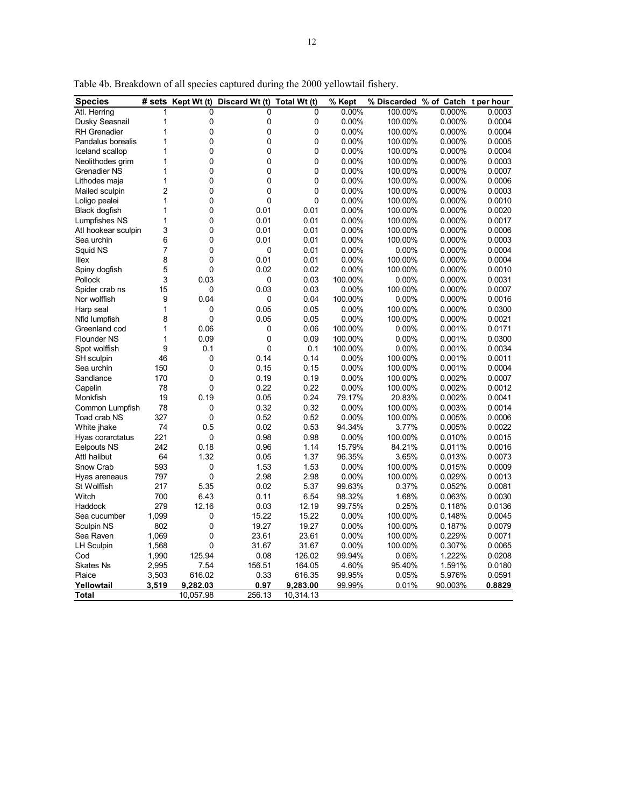| <b>Species</b>      | # sets         | Kept Wt (t) | Discard Wt (t) | Total Wt (t) | % Kept   | % Discarded % of Catch t per hour |         |        |
|---------------------|----------------|-------------|----------------|--------------|----------|-----------------------------------|---------|--------|
| Atl. Herring        | 1              | 0           | 0              | 0            | 0.00%    | 100.00%                           | 0.000%  | 0.0003 |
| Dusky Seasnail      | 1              | 0           | 0              | 0            | 0.00%    | 100.00%                           | 0.000%  | 0.0004 |
| <b>RH</b> Grenadier | 1              | 0           | 0              | 0            | 0.00%    | 100.00%                           | 0.000%  | 0.0004 |
| Pandalus borealis   | 1              | 0           | 0              | 0            | 0.00%    | 100.00%                           | 0.000%  | 0.0005 |
| Iceland scallop     | 1              | 0           | 0              | 0            | 0.00%    | 100.00%                           | 0.000%  | 0.0004 |
| Neolithodes grim    | 1              | 0           | $\overline{0}$ | 0            | 0.00%    | 100.00%                           | 0.000%  | 0.0003 |
| <b>Grenadier NS</b> | 1              | 0           | 0              | 0            | 0.00%    | 100.00%                           | 0.000%  | 0.0007 |
| Lithodes maja       | 1              | 0           | $\mathbf 0$    | 0            | 0.00%    | 100.00%                           | 0.000%  | 0.0006 |
| Mailed sculpin      | $\overline{c}$ | 0           | 0              | 0            | 0.00%    | 100.00%                           | 0.000%  | 0.0003 |
| Loligo pealei       | 1              | 0           | $\mathbf 0$    | 0            | 0.00%    | 100.00%                           | 0.000%  | 0.0010 |
| Black dogfish       | 1              | 0           | 0.01           | 0.01         | 0.00%    | 100.00%                           | 0.000%  | 0.0020 |
| Lumpfishes NS       | 1              | 0           | 0.01           | 0.01         | 0.00%    | 100.00%                           | 0.000%  | 0.0017 |
| Atl hookear sculpin | 3              | 0           | 0.01           | 0.01         | 0.00%    | 100.00%                           | 0.000%  | 0.0006 |
| Sea urchin          | 6              | 0           | 0.01           | 0.01         | 0.00%    | 100.00%                           | 0.000%  | 0.0003 |
| Squid NS            | 7              | 0           | 0              | 0.01         | 0.00%    | 0.00%                             | 0.000%  | 0.0004 |
| Illex               | 8              | 0           | 0.01           | 0.01         | 0.00%    | 100.00%                           | 0.000%  | 0.0004 |
| Spiny dogfish       | 5              | 0           | 0.02           | 0.02         | 0.00%    | 100.00%                           | 0.000%  | 0.0010 |
| Pollock             | 3              | 0.03        | 0              | 0.03         | 100.00%  | 0.00%                             | 0.000%  | 0.0031 |
| Spider crab ns      | 15             | 0           | 0.03           | 0.03         | $0.00\%$ | 100.00%                           | 0.000%  | 0.0007 |
| Nor wolffish        | 9              | 0.04        | 0              | 0.04         | 100.00%  | 0.00%                             | 0.000%  | 0.0016 |
| Harp seal           | 1              | 0           | 0.05           | 0.05         | $0.00\%$ | 100.00%                           | 0.000%  | 0.0300 |
| Nfld lumpfish       | 8              | 0           | 0.05           | 0.05         | 0.00%    | 100.00%                           | 0.000%  | 0.0021 |
| Greenland cod       | 1              | 0.06        | 0              | 0.06         | 100.00%  | 0.00%                             | 0.001%  | 0.0171 |
| <b>Flounder NS</b>  | 1              | 0.09        | 0              | 0.09         | 100.00%  | 0.00%                             | 0.001%  | 0.0300 |
| Spot wolffish       | 9              | 0.1         | 0              | 0.1          | 100.00%  | 0.00%                             | 0.001%  | 0.0034 |
| SH sculpin          | 46             | 0           | 0.14           | 0.14         | 0.00%    | 100.00%                           | 0.001%  | 0.0011 |
| Sea urchin          | 150            | 0           | 0.15           | 0.15         | 0.00%    | 100.00%                           | 0.001%  | 0.0004 |
| Sandlance           | 170            | $\mathbf 0$ | 0.19           | 0.19         | $0.00\%$ | 100.00%                           | 0.002%  | 0.0007 |
| Capelin             | 78             | 0           | 0.22           | 0.22         | 0.00%    | 100.00%                           | 0.002%  | 0.0012 |
| Monkfish            | 19             | 0.19        | 0.05           | 0.24         | 79.17%   | 20.83%                            | 0.002%  | 0.0041 |
| Common Lumpfish     | 78             | 0           | 0.32           | 0.32         | 0.00%    | 100.00%                           | 0.003%  | 0.0014 |
| Toad crab NS        | 327            | 0           | 0.52           | 0.52         | 0.00%    | 100.00%                           | 0.005%  | 0.0006 |
| White jhake         | 74             | 0.5         | 0.02           | 0.53         | 94.34%   | 3.77%                             | 0.005%  | 0.0022 |
| Hyas corarctatus    | 221            | 0           | 0.98           | 0.98         | 0.00%    | 100.00%                           | 0.010%  | 0.0015 |
| <b>Eelpouts NS</b>  | 242            | 0.18        | 0.96           | 1.14         | 15.79%   | 84.21%                            | 0.011%  | 0.0016 |
| Attl halibut        | 64             | 1.32        | 0.05           | 1.37         | 96.35%   | 3.65%                             | 0.013%  | 0.0073 |
| Snow Crab           | 593            | 0           | 1.53           | 1.53         | 0.00%    | 100.00%                           | 0.015%  | 0.0009 |
| Hyas areneaus       | 797            | 0           | 2.98           | 2.98         | 0.00%    | 100.00%                           | 0.029%  | 0.0013 |
| St Wolffish         | 217            | 5.35        | 0.02           | 5.37         | 99.63%   | 0.37%                             | 0.052%  | 0.0081 |
| Witch               | 700            | 6.43        | 0.11           | 6.54         | 98.32%   | 1.68%                             | 0.063%  | 0.0030 |
| Haddock             | 279            | 12.16       | 0.03           | 12.19        | 99.75%   | 0.25%                             | 0.118%  | 0.0136 |
| Sea cucumber        | 1,099          | 0           | 15.22          | 15.22        | 0.00%    | 100.00%                           | 0.148%  | 0.0045 |
| Sculpin NS          | 802            | 0           | 19.27          | 19.27        | 0.00%    | 100.00%                           | 0.187%  | 0.0079 |
| Sea Raven           | 1,069          | 0           | 23.61          | 23.61        | 0.00%    | 100.00%                           | 0.229%  | 0.0071 |
| <b>LH Sculpin</b>   | 1,568          | 0           | 31.67          | 31.67        | $0.00\%$ | 100.00%                           | 0.307%  | 0.0065 |
| Cod                 | 1,990          | 125.94      | 0.08           | 126.02       | 99.94%   | 0.06%                             | 1.222%  | 0.0208 |
| <b>Skates Ns</b>    | 2,995          | 7.54        | 156.51         | 164.05       | 4.60%    | 95.40%                            | 1.591%  | 0.0180 |
| Plaice              | 3,503          | 616.02      | 0.33           | 616.35       | 99.95%   | 0.05%                             | 5.976%  | 0.0591 |
| Yellowtail          | 3,519          | 9,282.03    | 0.97           | 9,283.00     | 99.99%   | 0.01%                             | 90.003% | 0.8829 |
| <b>Total</b>        |                | 10,057.98   | 256.13         | 10,314.13    |          |                                   |         |        |

Table 4b. Breakdown of all species captured during the 2000 yellowtail fishery.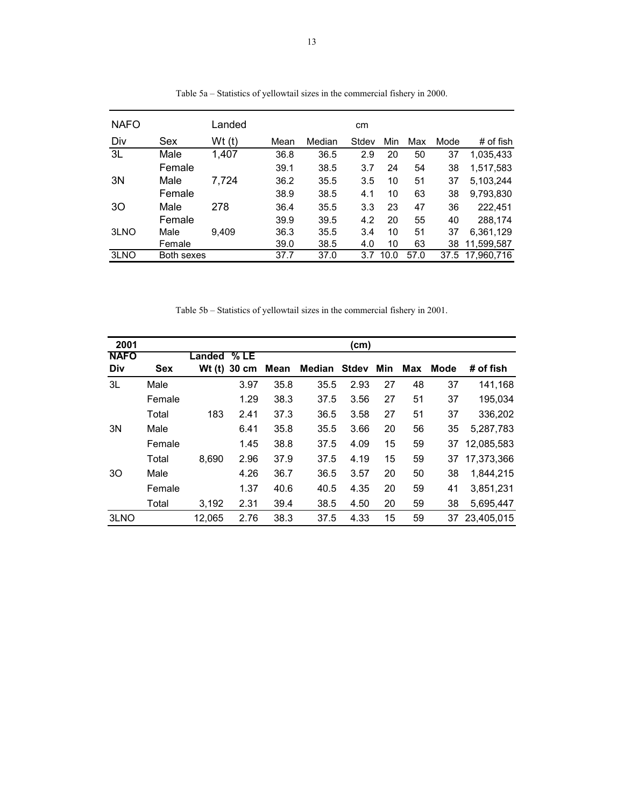| <b>NAFO</b> |            | Landed |      |        | cm    |      |      |      |                 |
|-------------|------------|--------|------|--------|-------|------|------|------|-----------------|
| Div         | Sex        | Wt(t)  | Mean | Median | Stdev | Min  | Max  | Mode | $#$ of fish     |
| 3L          | Male       | 1,407  | 36.8 | 36.5   | 2.9   | 20   | 50   | 37   | 1,035,433       |
|             | Female     |        | 39.1 | 38.5   | 3.7   | 24   | 54   | 38   | 1,517,583       |
| 3N          | Male       | 7,724  | 36.2 | 35.5   | 3.5   | 10   | 51   | 37   | 5,103,244       |
|             | Female     |        | 38.9 | 38.5   | 4.1   | 10   | 63   | 38   | 9,793,830       |
| 30          | Male       | 278    | 36.4 | 35.5   | 3.3   | 23   | 47   | 36   | 222.451         |
|             | Female     |        | 39.9 | 39.5   | 4.2   | 20   | 55   | 40   | 288.174         |
| 3LNO        | Male       | 9.409  | 36.3 | 35.5   | 3.4   | 10   | 51   | 37   | 6,361,129       |
|             | Female     |        | 39.0 | 38.5   | 4.0   | 10   | 63   | 38   | 11,599,587      |
| 3LNO        | Both sexes |        | 37.7 | 37.0   | 3.7   | 10.0 | 57.0 |      | 37.5 17,960,716 |

Table 5a – Statistics of yellowtail sizes in the commercial fishery in 2000.

Table 5b – Statistics of yellowtail sizes in the commercial fishery in 2001.

| 2001        |            |        |       |      |               | (cm)         |     |     |      |            |
|-------------|------------|--------|-------|------|---------------|--------------|-----|-----|------|------------|
| <b>NAFO</b> |            | Landed | % LE  |      |               |              |     |     |      |            |
| Div         | <b>Sex</b> | Wt(t)  | 30 cm | Mean | <b>Median</b> | <b>Stdev</b> | Min | Max | Mode | # of fish  |
| 3L          | Male       |        | 3.97  | 35.8 | 35.5          | 2.93         | 27  | 48  | 37   | 141.168    |
|             | Female     |        | 1.29  | 38.3 | 37.5          | 3.56         | 27  | 51  | 37   | 195.034    |
|             | Total      | 183    | 2.41  | 37.3 | 36.5          | 3.58         | 27  | 51  | 37   | 336,202    |
| 3N          | Male       |        | 6.41  | 35.8 | 35.5          | 3.66         | 20  | 56  | 35   | 5,287,783  |
|             | Female     |        | 1.45  | 38.8 | 37.5          | 4.09         | 15  | 59  | 37   | 12.085.583 |
|             | Total      | 8.690  | 2.96  | 37.9 | 37.5          | 4.19         | 15  | 59  | 37   | 17.373.366 |
| 30          | Male       |        | 4.26  | 36.7 | 36.5          | 3.57         | 20  | 50  | 38   | 1.844.215  |
|             | Female     |        | 1.37  | 40.6 | 40.5          | 4.35         | 20  | 59  | 41   | 3,851,231  |
|             | Total      | 3.192  | 2.31  | 39.4 | 38.5          | 4.50         | 20  | 59  | 38   | 5.695.447  |
| 3LNO        |            | 12,065 | 2.76  | 38.3 | 37.5          | 4.33         | 15  | 59  | 37   | 23.405.015 |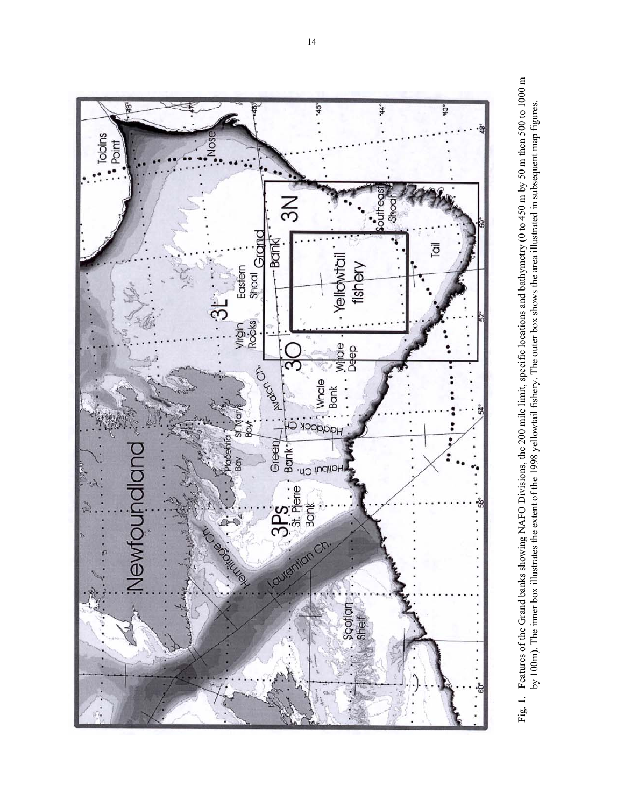

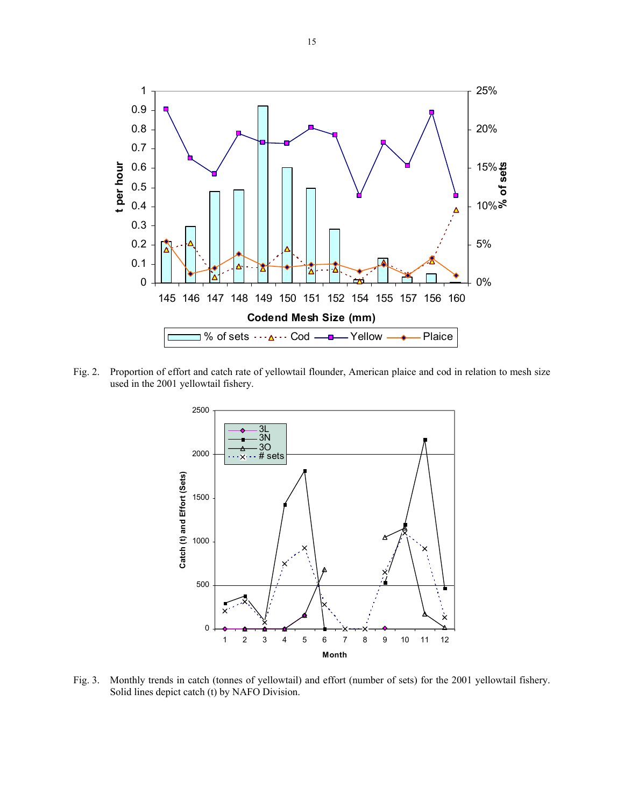

Fig. 2. Proportion of effort and catch rate of yellowtail flounder, American plaice and cod in relation to mesh size used in the 2001 yellowtail fishery.



Fig. 3. Monthly trends in catch (tonnes of yellowtail) and effort (number of sets) for the 2001 yellowtail fishery. Solid lines depict catch (t) by NAFO Division.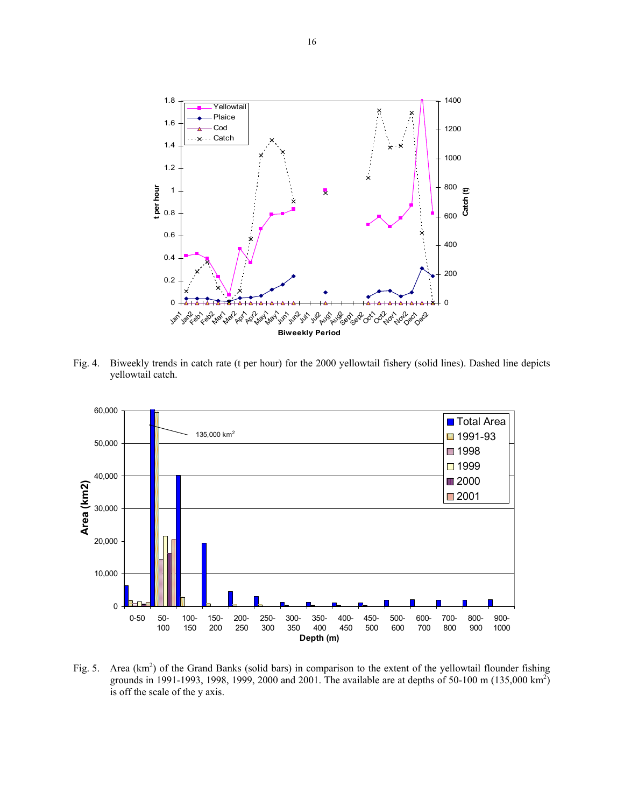

Fig. 4. Biweekly trends in catch rate (t per hour) for the 2000 yellowtail fishery (solid lines). Dashed line depicts yellowtail catch.



Fig. 5. Area  $(km^2)$  of the Grand Banks (solid bars) in comparison to the extent of the yellowtail flounder fishing grounds in 1991-1993, 1998, 1999, 2000 and 2001. The available are at depths of 50-100 m (135,000 km<sup>2</sup>) is off the scale of the y axis.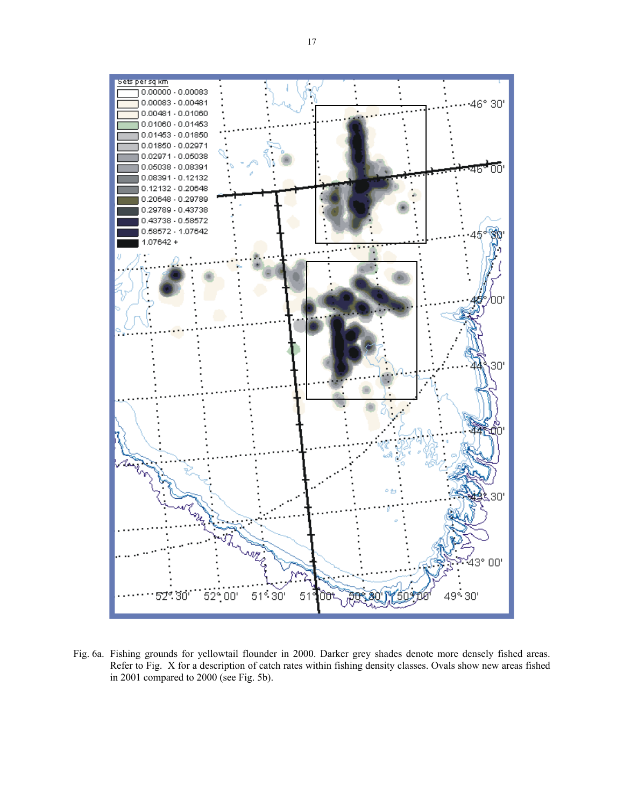

Fig. 6a. Fishing grounds for yellowtail flounder in 2000. Darker grey shades denote more densely fished areas. Refer to Fig. X for a description of catch rates within fishing density classes. Ovals show new areas fished in 2001 compared to 2000 (see Fig. 5b).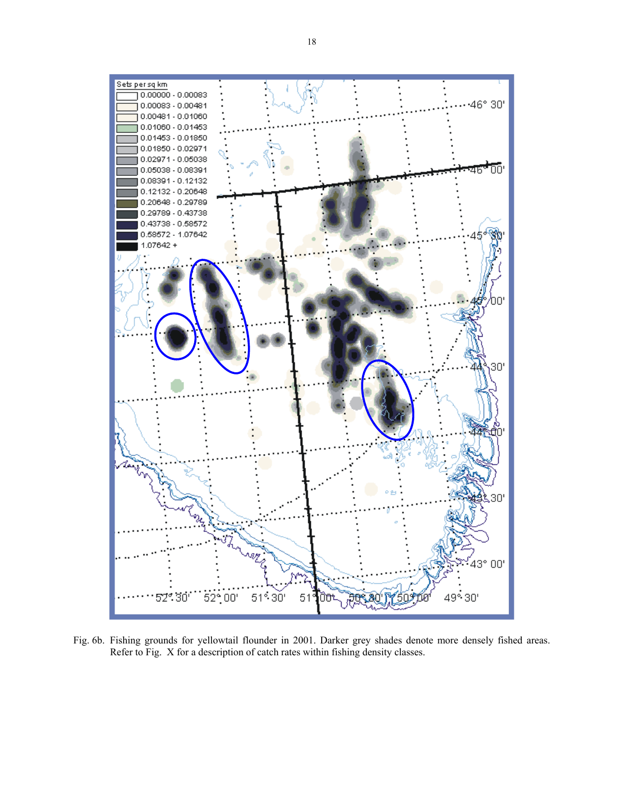

Fig. 6b. Fishing grounds for yellowtail flounder in 2001. Darker grey shades denote more densely fished areas. Refer to Fig. X for a description of catch rates within fishing density classes.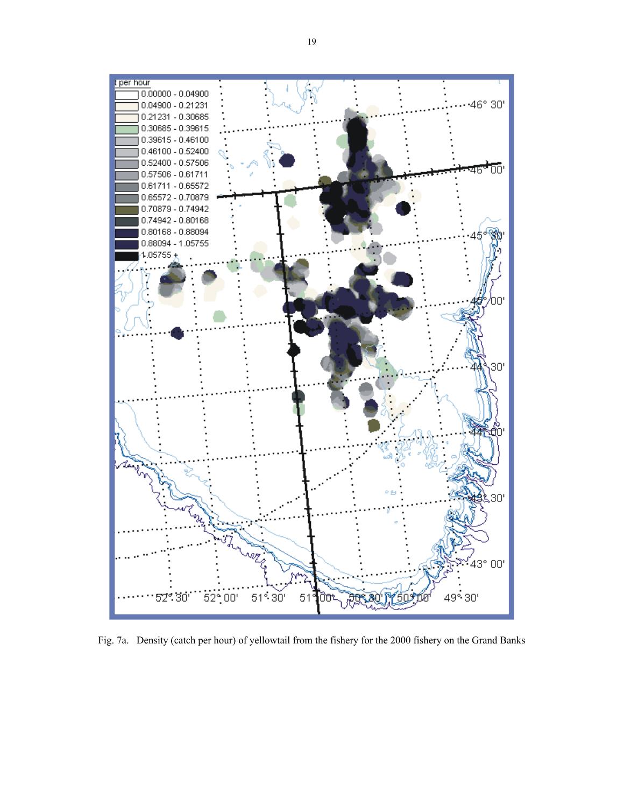

Fig. 7a. Density (catch per hour) of yellowtail from the fishery for the 2000 fishery on the Grand Banks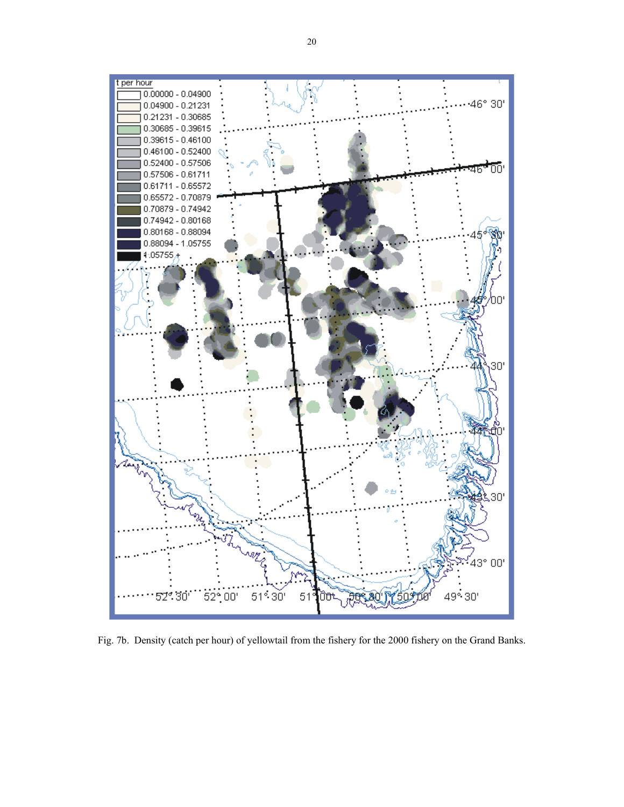

Fig. 7b. Density (catch per hour) of yellowtail from the fishery for the 2000 fishery on the Grand Banks.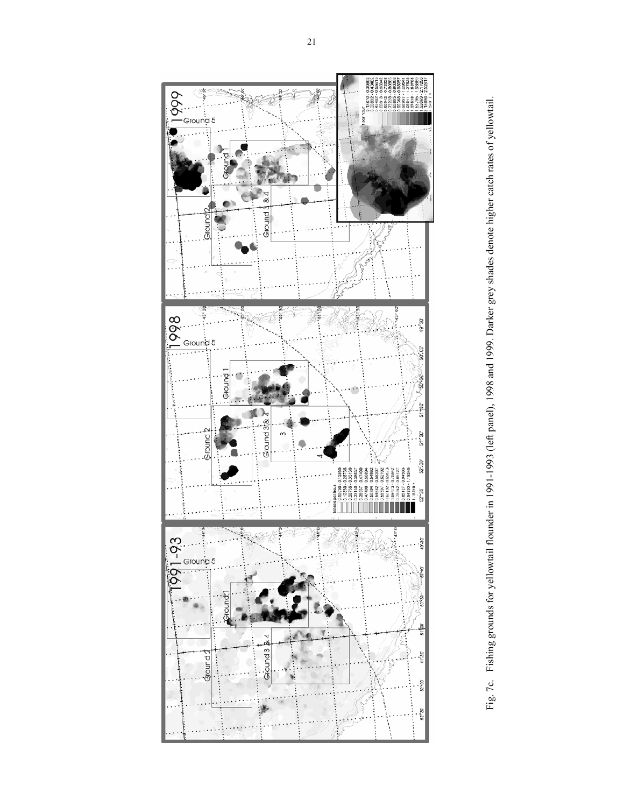

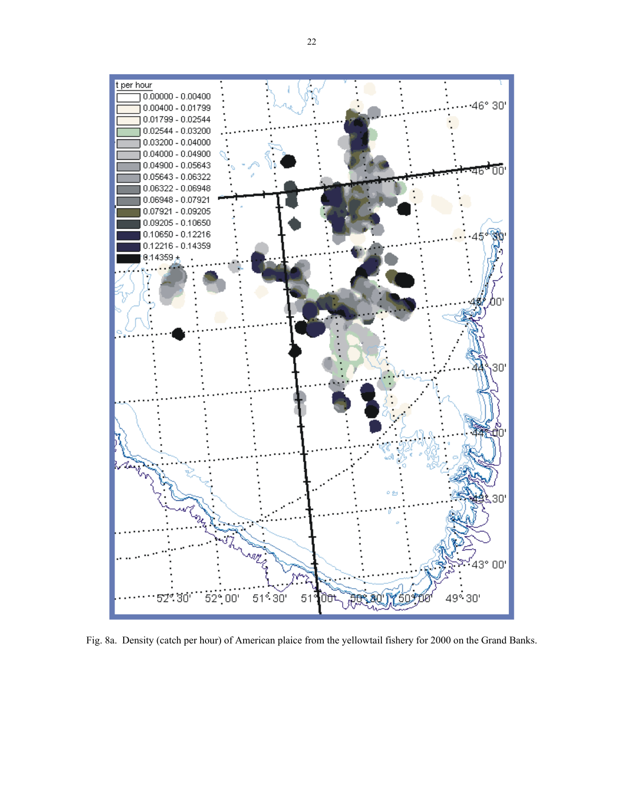

Fig. 8a. Density (catch per hour) of American plaice from the yellowtail fishery for 2000 on the Grand Banks.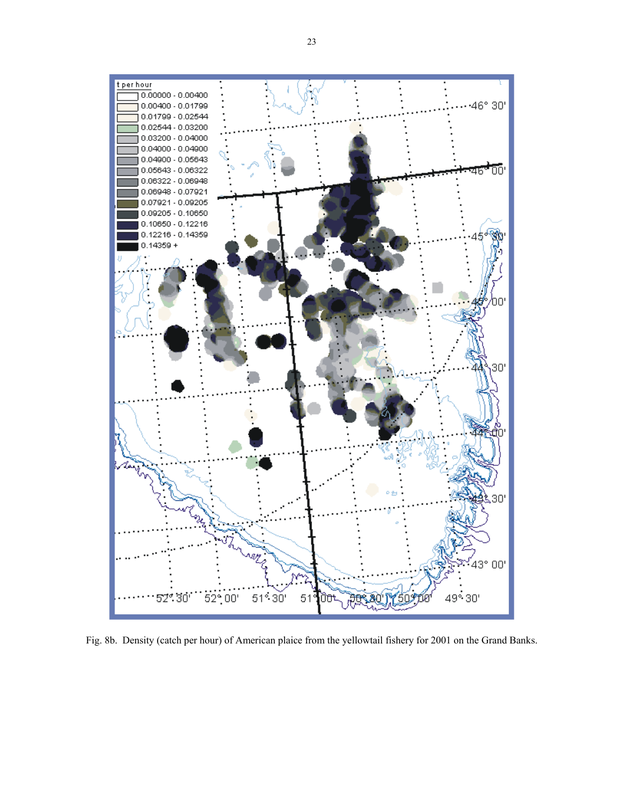

Fig. 8b. Density (catch per hour) of American plaice from the yellowtail fishery for 2001 on the Grand Banks.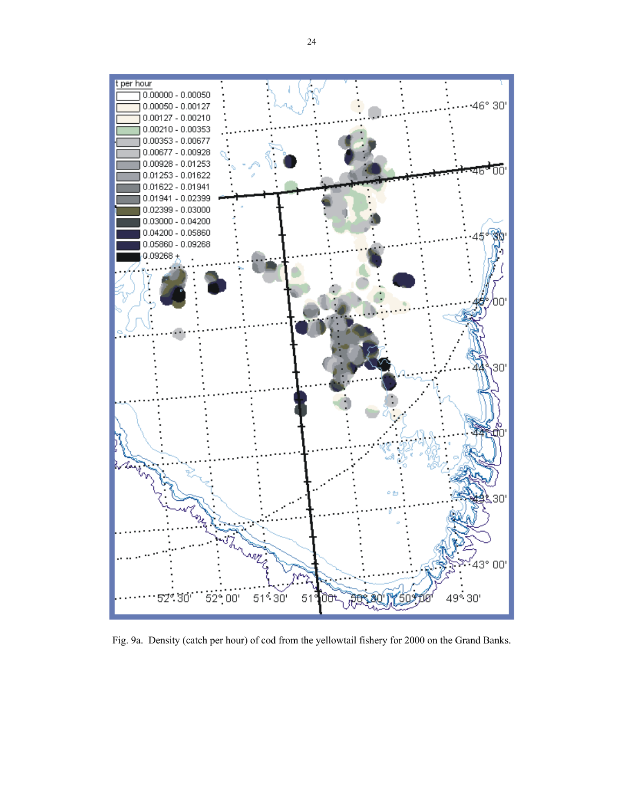

Fig. 9a. Density (catch per hour) of cod from the yellowtail fishery for 2000 on the Grand Banks.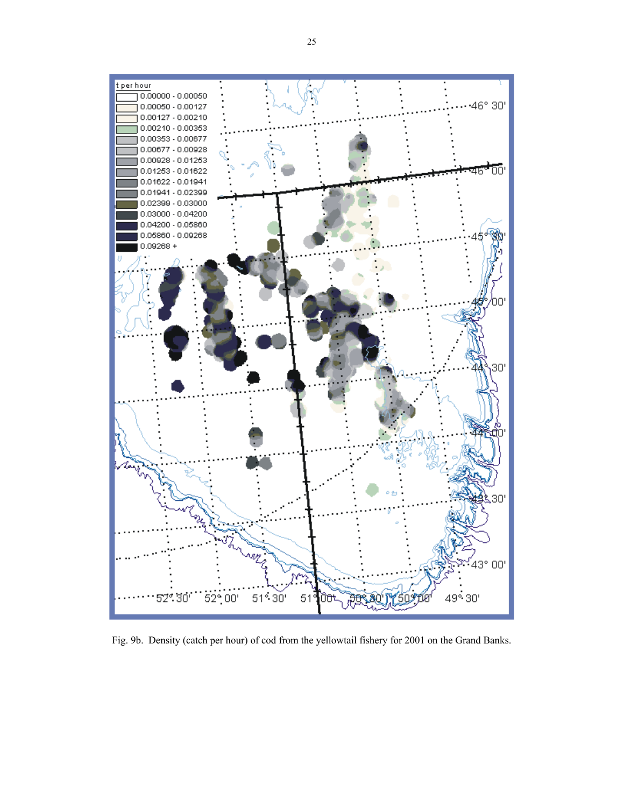

Fig. 9b. Density (catch per hour) of cod from the yellowtail fishery for 2001 on the Grand Banks.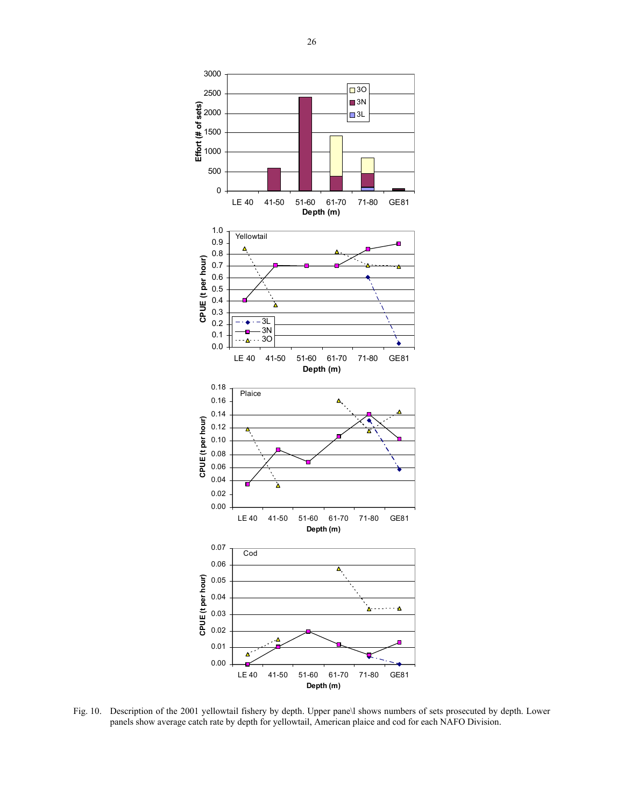

Fig. 10. Description of the 2001 yellowtail fishery by depth. Upper pane\l shows numbers of sets prosecuted by depth. Lower panels show average catch rate by depth for yellowtail, American plaice and cod for each NAFO Division.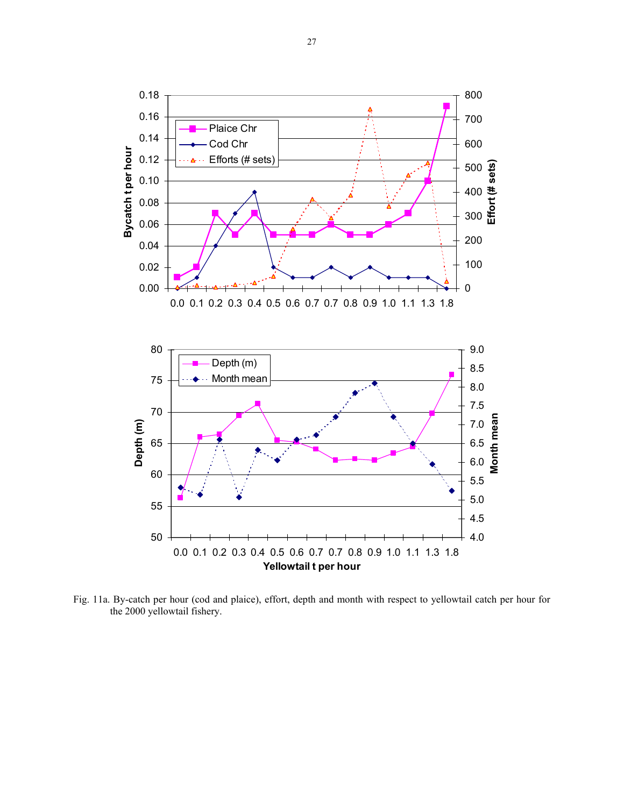

Fig. 11a. By-catch per hour (cod and plaice), effort, depth and month with respect to yellowtail catch per hour for the 2000 yellowtail fishery.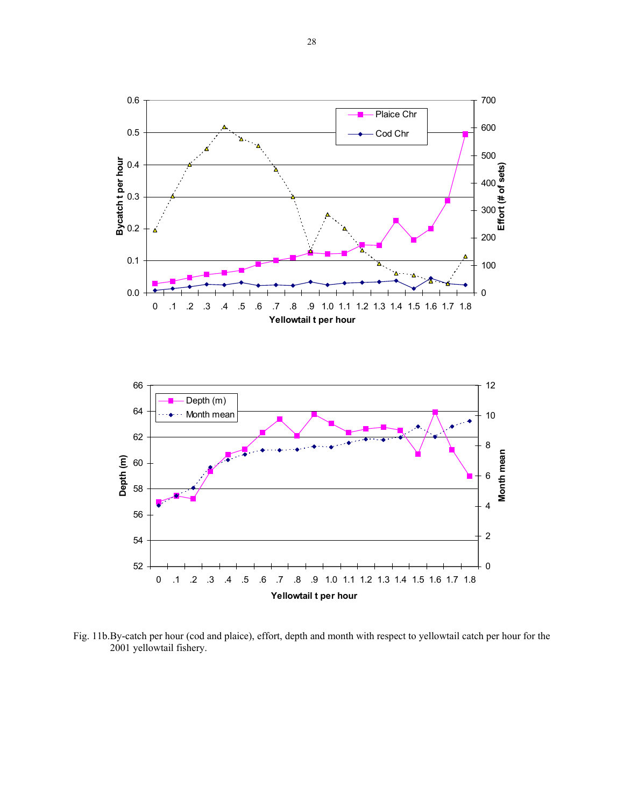

Fig. 11b. By-catch per hour (cod and plaice), effort, depth and month with respect to yellowtail catch per hour for the 2001 yellowtail fishery.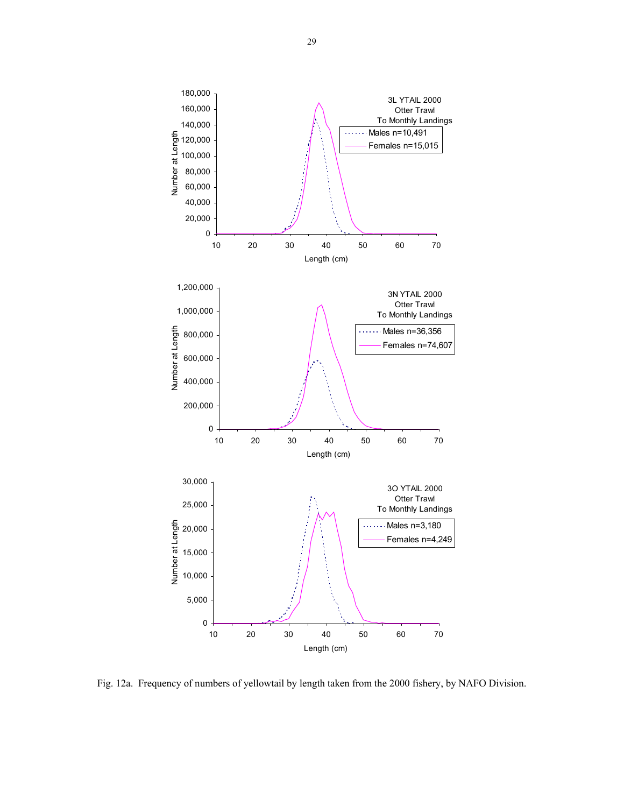

Fig. 12a. Frequency of numbers of yellowtail by length taken from the 2000 fishery, by NAFO Division.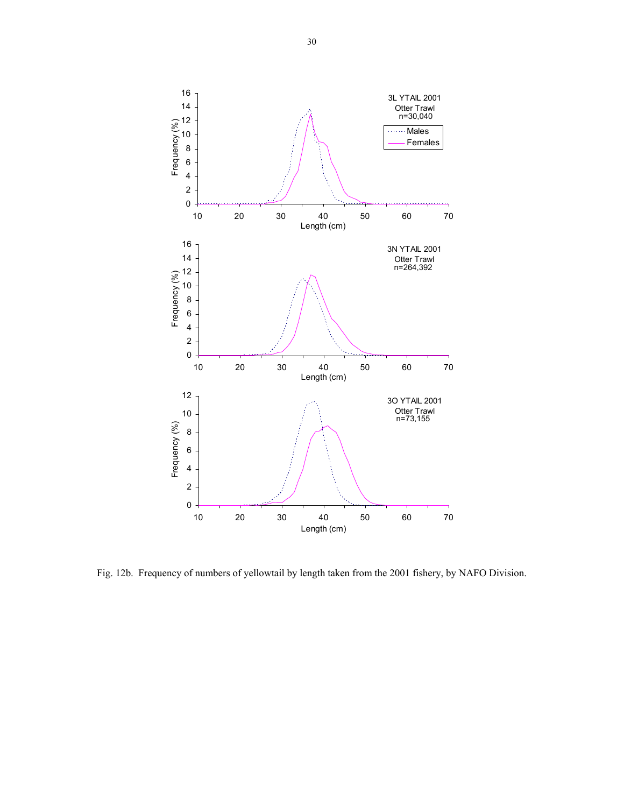

Fig. 12b. Frequency of numbers of yellowtail by length taken from the 2001 fishery, by NAFO Division.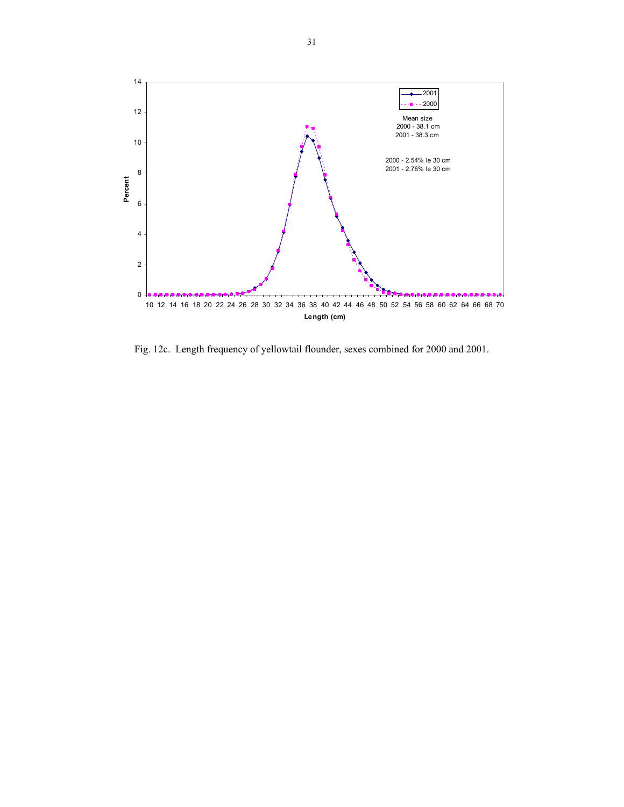

Fig. 12c. Length frequency of yellowtail flounder, sexes combined for 2000 and 2001.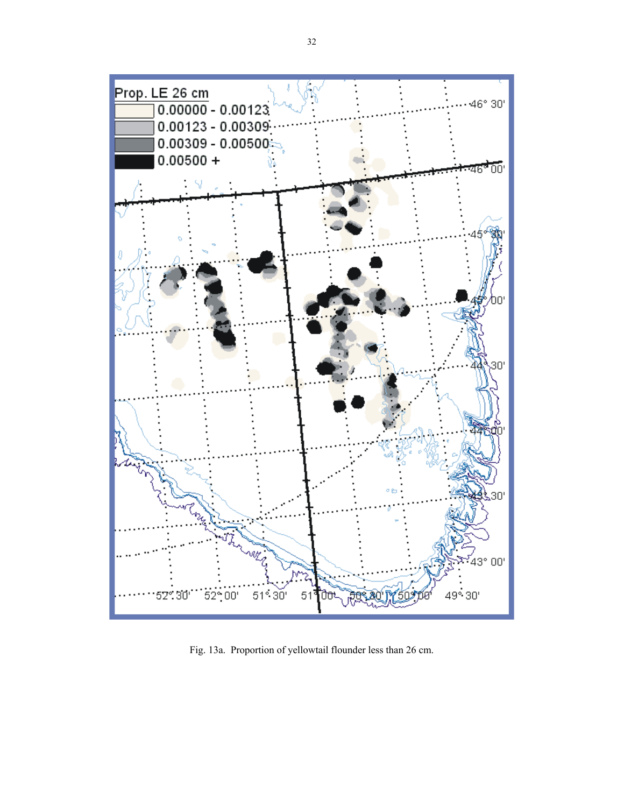

Fig. 13a. Proportion of yellowtail flounder less than 26 cm.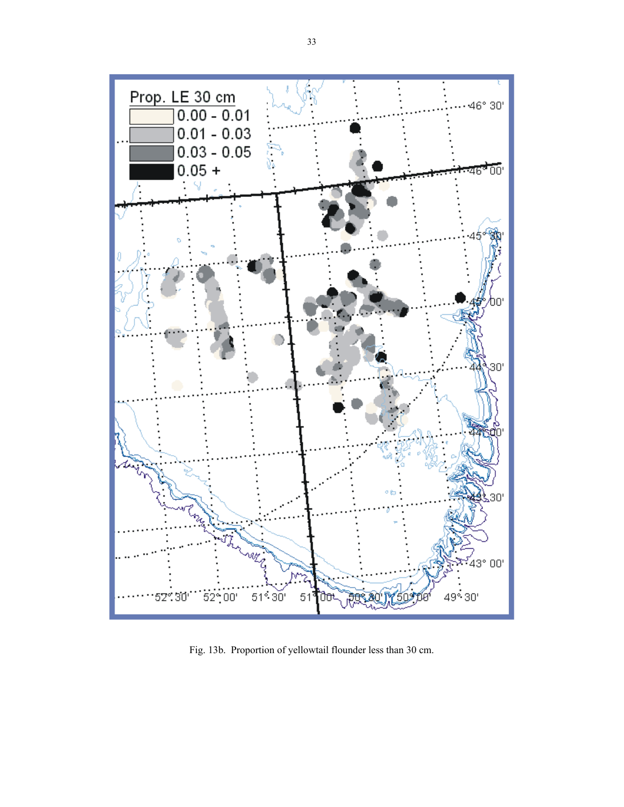

Fig. 13b. Proportion of yellowtail flounder less than 30 cm.